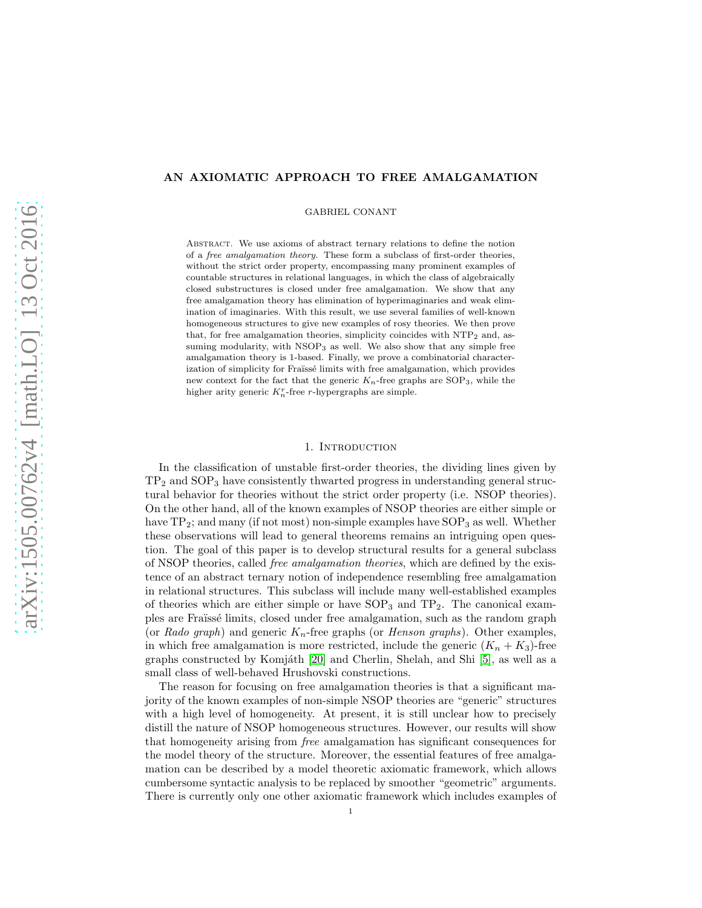# AN AXIOMATIC APPROACH TO FREE AMALGAMATION

GABRIEL CONANT

Abstract. We use axioms of abstract ternary relations to define the notion of a free amalgamation theory. These form a subclass of first-order theories, without the strict order property, encompassing many prominent examples of countable structures in relational languages, in which the class of algebraically closed substructures is closed under free amalgamation. We show that any free amalgamation theory has elimination of hyperimaginaries and weak elimination of imaginaries. With this result, we use several families of well-known homogeneous structures to give new examples of rosy theories. We then prove that, for free amalgamation theories, simplicity coincides with  $NTP_2$  and, assuming modularity, with NSOP<sub>3</sub> as well. We also show that any simple free amalgamation theory is 1-based. Finally, we prove a combinatorial characterization of simplicity for Fraïssé limits with free amalgamation, which provides new context for the fact that the generic  $K_n$ -free graphs are  $SOP_3$ , while the higher arity generic  $K_n^r$ -free r-hypergraphs are simple.

## 1. INTRODUCTION

In the classification of unstable first-order theories, the dividing lines given by  $TP<sub>2</sub>$  and  $SOP<sub>3</sub>$  have consistently thwarted progress in understanding general structural behavior for theories without the strict order property (i.e. NSOP theories). On the other hand, all of the known examples of NSOP theories are either simple or have  $TP_2$ ; and many (if not most) non-simple examples have  $SOP_3$  as well. Whether these observations will lead to general theorems remains an intriguing open question. The goal of this paper is to develop structural results for a general subclass of NSOP theories, called free amalgamation theories, which are defined by the existence of an abstract ternary notion of independence resembling free amalgamation in relational structures. This subclass will include many well-established examples of theories which are either simple or have  $SOP_3$  and  $TP_2$ . The canonical examples are Fraïssé limits, closed under free amalgamation, such as the random graph (or Rado graph) and generic  $K_n$ -free graphs (or Henson graphs). Other examples, in which free amalgamation is more restricted, include the generic  $(K_n + K_3)$ -free graphs constructed by Komjáth  $[20]$  and Cherlin, Shelah, and Shi  $[5]$ , as well as a small class of well-behaved Hrushovski constructions.

The reason for focusing on free amalgamation theories is that a significant majority of the known examples of non-simple NSOP theories are "generic" structures with a high level of homogeneity. At present, it is still unclear how to precisely distill the nature of NSOP homogeneous structures. However, our results will show that homogeneity arising from free amalgamation has significant consequences for the model theory of the structure. Moreover, the essential features of free amalgamation can be described by a model theoretic axiomatic framework, which allows cumbersome syntactic analysis to be replaced by smoother "geometric" arguments. There is currently only one other axiomatic framework which includes examples of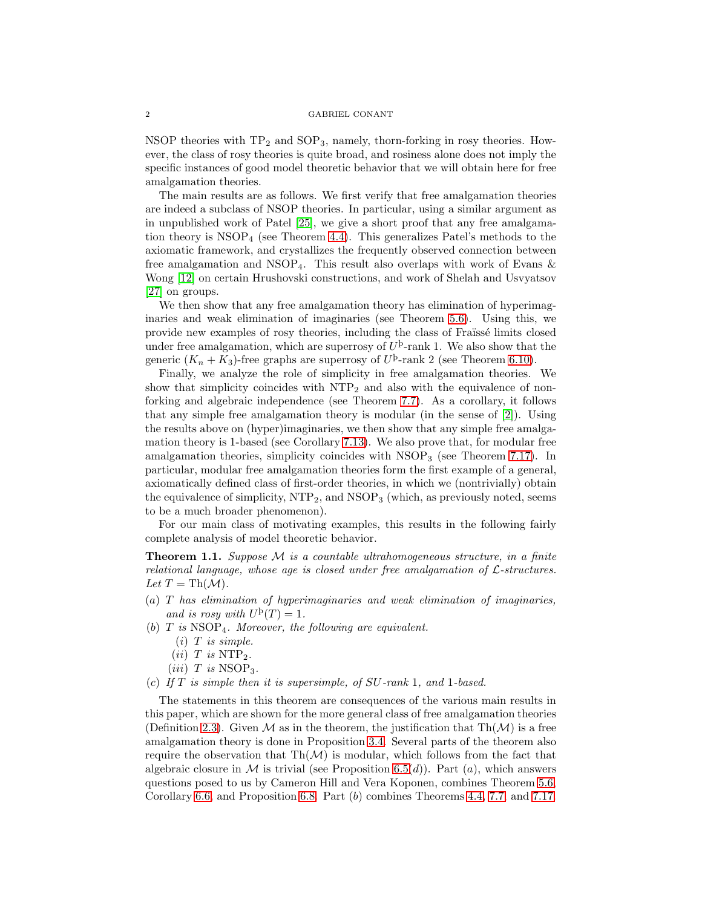NSOP theories with  $TP_2$  and  $SOP_3$ , namely, thorn-forking in rosy theories. However, the class of rosy theories is quite broad, and rosiness alone does not imply the specific instances of good model theoretic behavior that we will obtain here for free amalgamation theories.

The main results are as follows. We first verify that free amalgamation theories are indeed a subclass of NSOP theories. In particular, using a similar argument as in unpublished work of Patel [\[25\]](#page-22-1), we give a short proof that any free amalgamation theory is  $NSOP_4$  (see Theorem [4.4\)](#page-6-0). This generalizes Patel's methods to the axiomatic framework, and crystallizes the frequently observed connection between free amalgamation and  $NSOP_4$ . This result also overlaps with work of Evans  $\&$ Wong [\[12\]](#page-22-2) on certain Hrushovski constructions, and work of Shelah and Usvyatsov [\[27\]](#page-22-3) on groups.

We then show that any free amalgamation theory has elimination of hyperimaginaries and weak elimination of imaginaries (see Theorem [5.6\)](#page-10-0). Using this, we provide new examples of rosy theories, including the class of Franssé limits closed under free amalgamation, which are superrosy of  $U^{\mathrm{b}}$ -rank 1. We also show that the generic  $(K_n + K_3)$ -free graphs are superrosy of  $U^{\mathfrak{b}}$ -rank 2 (see Theorem [6.10\)](#page-13-0).

Finally, we analyze the role of simplicity in free amalgamation theories. We show that simplicity coincides with NTP<sup>2</sup> and also with the equivalence of nonforking and algebraic independence (see Theorem [7.7\)](#page-15-0). As a corollary, it follows that any simple free amalgamation theory is modular (in the sense of [\[2\]](#page-21-1)). Using the results above on (hyper)imaginaries, we then show that any simple free amalgamation theory is 1-based (see Corollary [7.13\)](#page-17-0). We also prove that, for modular free amalgamation theories, simplicity coincides with  $NSOP_3$  (see Theorem [7.17\)](#page-18-0). In particular, modular free amalgamation theories form the first example of a general, axiomatically defined class of first-order theories, in which we (nontrivially) obtain the equivalence of simplicity,  $NTP_2$ , and  $NSOP_3$  (which, as previously noted, seems to be a much broader phenomenon).

For our main class of motivating examples, this results in the following fairly complete analysis of model theoretic behavior.

**Theorem 1.1.** Suppose  $\mathcal M$  is a countable ultrahomogeneous structure, in a finite relational language, whose age is closed under free amalgamation of  $\mathcal{L}\text{-}structures.$ Let  $T = Th(\mathcal{M}).$ 

- (a) T has elimination of hyperimaginaries and weak elimination of imaginaries, and is rosy with  $U^{\rm b}(T)=1$ .
- (b)  $T$  is  $NSOP<sub>4</sub>$ . Moreover, the following are equivalent.
	- $(i)$  T is simple.
	- $(ii)$  T is NTP<sub>2</sub>.
	- $(iii)$  T is NSOP<sub>3</sub>.
- (c) If  $T$  is simple then it is supersimple, of  $SU$ -rank 1, and 1-based.

The statements in this theorem are consequences of the various main results in this paper, which are shown for the more general class of free amalgamation theories (Definition [2.3\)](#page-3-0). Given M as in the theorem, the justification that  $\text{Th}(\mathcal{M})$  is a free amalgamation theory is done in Proposition [3.4.](#page-5-0) Several parts of the theorem also require the observation that  $\text{Th}(\mathcal{M})$  is modular, which follows from the fact that algebraic closure in M is trivial (see Proposition [6.5\(](#page-12-0)d)). Part  $(a)$ , which answers questions posed to us by Cameron Hill and Vera Koponen, combines Theorem [5.6,](#page-10-0) Corollary [6.6,](#page-12-1) and Proposition [6.8.](#page-12-2) Part (b) combines Theorems [4.4,](#page-6-0) [7.7,](#page-15-0) and [7.17.](#page-18-0)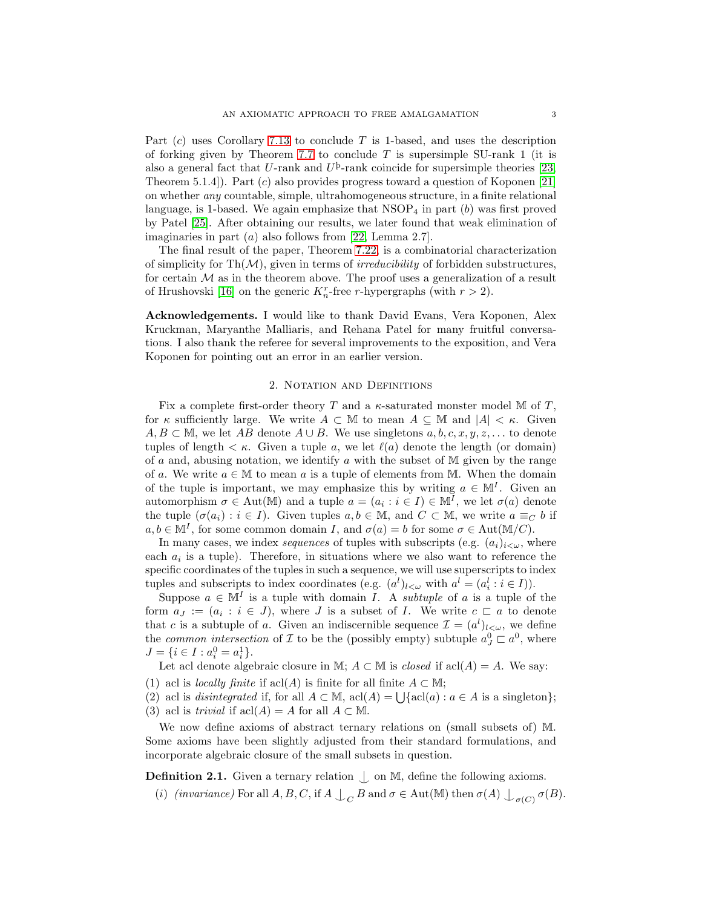Part  $(c)$  uses Corollary [7.13](#page-17-0) to conclude T is 1-based, and uses the description of forking given by Theorem [7.7](#page-15-0) to conclude T is supersimple SU-rank 1 (it is also a general fact that U-rank and  $U^{\text{b}}$ -rank coincide for supersimple theories [\[23,](#page-22-4) Theorem 5.1.4]). Part (c) also provides progress toward a question of Koponen [\[21\]](#page-22-5) on whether any countable, simple, ultrahomogeneous structure, in a finite relational language, is 1-based. We again emphasize that  $NSOP<sub>4</sub>$  in part  $(b)$  was first proved by Patel [\[25\]](#page-22-1). After obtaining our results, we later found that weak elimination of imaginaries in part  $(a)$  also follows from [\[22,](#page-22-6) Lemma 2.7].

The final result of the paper, Theorem [7.22,](#page-20-0) is a combinatorial characterization of simplicity for  $\text{Th}(\mathcal{M})$ , given in terms of *irreducibility* of forbidden substructures, for certain  $M$  as in the theorem above. The proof uses a generalization of a result of Hrushovski [\[16\]](#page-22-7) on the generic  $K_n^r$ -free r-hypergraphs (with  $r > 2$ ).

Acknowledgements. I would like to thank David Evans, Vera Koponen, Alex Kruckman, Maryanthe Malliaris, and Rehana Patel for many fruitful conversations. I also thank the referee for several improvements to the exposition, and Vera Koponen for pointing out an error in an earlier version.

## 2. NOTATION AND DEFINITIONS

Fix a complete first-order theory T and a  $\kappa$ -saturated monster model M of T, for  $\kappa$  sufficiently large. We write  $A \subset \mathbb{M}$  to mean  $A \subseteq \mathbb{M}$  and  $|A| < \kappa$ . Given  $A, B \subset \mathbb{M}$ , we let AB denote  $A \cup B$ . We use singletons  $a, b, c, x, y, z, \ldots$  to denote tuples of length  $\lt \kappa$ . Given a tuple a, we let  $\ell(a)$  denote the length (or domain) of  $a$  and, abusing notation, we identify  $a$  with the subset of M given by the range of a. We write  $a \in \mathbb{M}$  to mean a is a tuple of elements from M. When the domain of the tuple is important, we may emphasize this by writing  $a \in M<sup>I</sup>$ . Given an automorphism  $\sigma \in \text{Aut}(\mathbb{M})$  and a tuple  $a = (a_i : i \in I) \in \mathbb{M}^I$ , we let  $\sigma(a)$  denote the tuple  $(\sigma(a_i) : i \in I)$ . Given tuples  $a, b \in \mathbb{M}$ , and  $C \subset \mathbb{M}$ , we write  $a \equiv_C b$  if  $a, b \in \mathbb{M}^I$ , for some common domain I, and  $\sigma(a) = b$  for some  $\sigma \in \text{Aut}(\mathbb{M}/C)$ .

In many cases, we index *sequences* of tuples with subscripts (e.g.  $(a_i)_{i\leq\omega}$ , where each  $a_i$  is a tuple). Therefore, in situations where we also want to reference the specific coordinates of the tuples in such a sequence, we will use superscripts to index tuples and subscripts to index coordinates (e.g.  $(a^l)_{l\lt\omega}$  with  $a^l = (a_i^l : i \in I)$ ).

Suppose  $a \in \mathbb{M}^I$  is a tuple with domain *I*. A *subtuple* of a is a tuple of the form  $a_J := (a_i : i \in J)$ , where J is a subset of I. We write  $c \subset a$  to denote that c is a subtuple of a. Given an indiscernible sequence  $\mathcal{I} = (a^l)_{l \leq \omega}$ , we define the *common intersection* of  $\mathcal I$  to be the (possibly empty) subtuple  $a_J^0 \subset a^0$ , where  $J = \{i \in I : a_i^0 = a_i^1\}.$ 

Let acl denote algebraic closure in M;  $A \subset M$  is *closed* if  $\text{acl}(A) = A$ . We say:

(1) acl is *locally finite* if acl(A) is finite for all finite  $A \subset M$ ;

(2) acl is *disintegrated* if, for all  $A \subset \mathbb{M}$ , acl(A) =  $\bigcup \{\text{acl}(a) : a \in A \text{ is a singleton}\};$ (3) acl is *trivial* if  $\text{acl}(A) = A$  for all  $A \subset \mathbb{M}$ .

We now define axioms of abstract ternary relations on (small subsets of) M. Some axioms have been slightly adjusted from their standard formulations, and incorporate algebraic closure of the small subsets in question.

<span id="page-2-0"></span>**Definition 2.1.** Given a ternary relation  $\Box$  on M, define the following axioms.

(i) (invariance) For all  $A, B, C$ , if  $A \perp_C B$  and  $\sigma \in$  Aut(M) then  $\sigma(A) \perp_{\sigma(C)} \sigma(B)$ .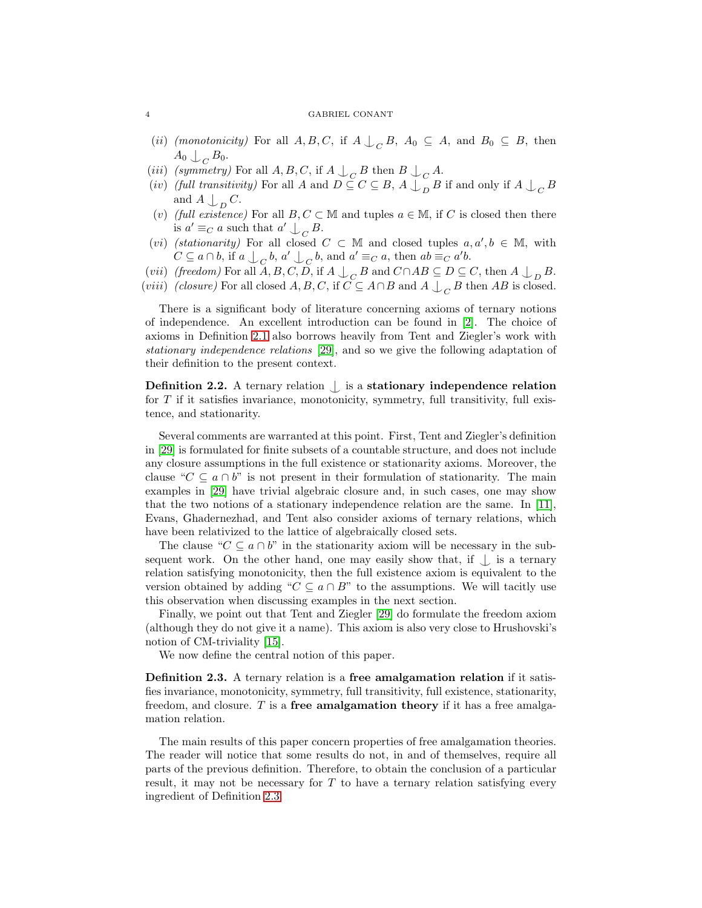- (*ii*) (*monotonicity*) For all  $A, B, C$ , if  $A \bigcup_C B$ ,  $A_0 \subseteq A$ , and  $B_0 \subseteq B$ , then  $A_0 \downarrow_C B_0.$
- (*iii*) (symmetry) For all  $A, B, C$ , if  $A \bigcup_C B$  then  $B \bigcup_C A$ .
- (*iv*) (full transitivity) For all A and  $D \subseteq C \subseteq B$ ,  $A \bigcup_{D} B$  if and only if  $A \bigcup_{C} B$ and  $A \bigcup_D C$ .
- (v) (full existence) For all  $B, C \subset \mathbb{M}$  and tuples  $a \in \mathbb{M}$ , if C is closed then there is  $a' \equiv_C a$  such that  $a' \bigcup_C B$ .
- (vi) (stationarity) For all closed  $C \subset \mathbb{M}$  and closed tuples  $a, a', b \in \mathbb{M}$ , with  $C \subseteq a \cap b$ , if  $a \cup_C b$ ,  $a' \cup_C b$ , and  $a' \equiv_C a$ , then  $ab \equiv_C a'b$ .
- (*vii*) (freedom) For all  $A, B, C, D$ , if  $A \bigcup_C B$  and  $C \cap AB \subseteq D \subseteq C$ , then  $A \bigcup_D B$ .
- (*viii*) (*closure*) For all closed  $A, B, C$ , if  $C \subseteq A \cap B$  and  $A \bigcup_C B$  then  $AB$  is closed.

There is a significant body of literature concerning axioms of ternary notions of independence. An excellent introduction can be found in [\[2\]](#page-21-1). The choice of axioms in Definition [2.1](#page-2-0) also borrows heavily from Tent and Ziegler's work with stationary independence relations [\[29\]](#page-22-8), and so we give the following adaptation of their definition to the present context.

Definition 2.2. A ternary relation  $\bigcup$  is a stationary independence relation for  $T$  if it satisfies invariance, monotonicity, symmetry, full transitivity, full existence, and stationarity.

Several comments are warranted at this point. First, Tent and Ziegler's definition in [\[29\]](#page-22-8) is formulated for finite subsets of a countable structure, and does not include any closure assumptions in the full existence or stationarity axioms. Moreover, the clause " $C \subseteq a \cap b$ " is not present in their formulation of stationarity. The main examples in [\[29\]](#page-22-8) have trivial algebraic closure and, in such cases, one may show that the two notions of a stationary independence relation are the same. In [\[11\]](#page-22-9), Evans, Ghadernezhad, and Tent also consider axioms of ternary relations, which have been relativized to the lattice of algebraically closed sets.

The clause " $C \subseteq a \cap b$ " in the stationarity axiom will be necessary in the subsequent work. On the other hand, one may easily show that, if  $\bigcup$  is a ternary relation satisfying monotonicity, then the full existence axiom is equivalent to the version obtained by adding " $C \subseteq a \cap B$ " to the assumptions. We will tacitly use this observation when discussing examples in the next section.

Finally, we point out that Tent and Ziegler [\[29\]](#page-22-8) do formulate the freedom axiom (although they do not give it a name). This axiom is also very close to Hrushovski's notion of CM-triviality [\[15\]](#page-22-10).

We now define the central notion of this paper.

<span id="page-3-0"></span>Definition 2.3. A ternary relation is a free amalgamation relation if it satisfies invariance, monotonicity, symmetry, full transitivity, full existence, stationarity, freedom, and closure.  $T$  is a **free amalgamation theory** if it has a free amalgamation relation.

The main results of this paper concern properties of free amalgamation theories. The reader will notice that some results do not, in and of themselves, require all parts of the previous definition. Therefore, to obtain the conclusion of a particular result, it may not be necessary for  $T$  to have a ternary relation satisfying every ingredient of Definition [2.3.](#page-3-0)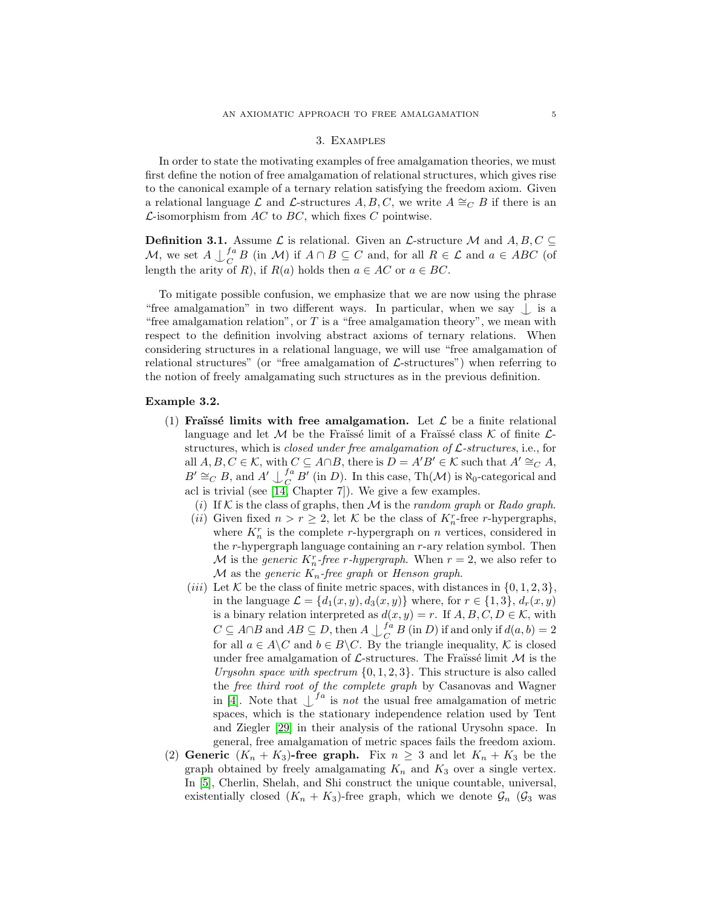## 3. Examples

<span id="page-4-3"></span>In order to state the motivating examples of free amalgamation theories, we must first define the notion of free amalgamation of relational structures, which gives rise to the canonical example of a ternary relation satisfying the freedom axiom. Given a relational language L and L-structures A, B, C, we write  $A \cong_{C} B$  if there is an  $\mathcal{L}$ -isomorphism from AC to BC, which fixes C pointwise.

**Definition 3.1.** Assume  $\mathcal{L}$  is relational. Given an  $\mathcal{L}$ -structure M and  $A, B, C \subseteq$ M, we set  $A\downarrow_{C}^{fa}$  $\bigcup_{C}^{a} B$  (in M) if  $A \cap B \subseteq C$  and, for all  $R \in \mathcal{L}$  and  $a \in ABC$  (of length the arity of R), if  $R(a)$  holds then  $a \in AC$  or  $a \in BC$ .

To mitigate possible confusion, we emphasize that we are now using the phrase "free amalgamation" in two different ways. In particular, when we say  $\bigcup$  is a "free amalgamation relation", or  $T$  is a "free amalgamation theory", we mean with respect to the definition involving abstract axioms of ternary relations. When considering structures in a relational language, we will use "free amalgamation of relational structures" (or "free amalgamation of  $\mathcal{L}$ -structures") when referring to the notion of freely amalgamating such structures as in the previous definition.

## <span id="page-4-1"></span><span id="page-4-0"></span>Example 3.2.

- (1) Fraüssé limits with free amalgamation. Let  $\mathcal L$  be a finite relational language and let M be the Fraïssé limit of a Fraïssé class K of finite  $\mathcal{L}$ structures, which is *closed under free amalgamation of*  $\mathcal{L}\text{-}structures, i.e., for$ all  $A, B, C \in \mathcal{K}$ , with  $C \subseteq A \cap B$ , there is  $D = A'B' \in \mathcal{K}$  such that  $A' \cong_C A$ ,  $B' \cong_C B$ , and  $A' \cup_C^{fa}$  $\int_C^{ta} B'$  (in D). In this case, Th(M) is  $\aleph_0$ -categorical and acl is trivial (see [\[14,](#page-22-11) Chapter 7]). We give a few examples.
	- (i) If K is the class of graphs, then M is the random graph or Rado graph.
	- (*ii*) Given fixed  $n > r \geq 2$ , let  $K$  be the class of  $K_n^r$ -free *r*-hypergraphs, where  $K_n^r$  is the complete r-hypergraph on n vertices, considered in the r-hypergraph language containing an r-ary relation symbol. Then M is the *generic*  $K_n^r$ -free r-hypergraph. When  $r = 2$ , we also refer to  $M$  as the generic  $K_n$ -free graph or Henson graph.
	- (*iii*) Let K be the class of finite metric spaces, with distances in  $\{0, 1, 2, 3\}$ , in the language  $\mathcal{L} = \{d_1(x, y), d_3(x, y)\}\$  where, for  $r \in \{1, 3\}, d_r(x, y)$ is a binary relation interpreted as  $d(x, y) = r$ . If  $A, B, C, D \in \mathcal{K}$ , with  $C \subseteq A \cap B$  and  $AB \subseteq D$ , then  $A \cup \begin{matrix} fa \\ C \end{matrix}$  $\int_C^a B(\text{in } D)$  if and only if  $d(a, b) = 2$ for all  $a \in A \backslash C$  and  $b \in B \backslash C$ . By the triangle inequality, K is closed under free amalgamation of  $\mathcal{L}$ -structures. The Fraüssé limit  $\mathcal{M}$  is the Urysohn space with spectrum  $\{0, 1, 2, 3\}$ . This structure is also called the free third root of the complete graph by Casanovas and Wagner in [\[4\]](#page-21-2). Note that  $\int^{fa}$  is *not* the usual free amalgamation of metric spaces, which is the stationary independence relation used by Tent and Ziegler [\[29\]](#page-22-8) in their analysis of the rational Urysohn space. In general, free amalgamation of metric spaces fails the freedom axiom.
- <span id="page-4-2"></span>(2) Generic  $(K_n + K_3)$ -free graph. Fix  $n \geq 3$  and let  $K_n + K_3$  be the graph obtained by freely amalgamating  $K_n$  and  $K_3$  over a single vertex. In [\[5\]](#page-21-0), Cherlin, Shelah, and Shi construct the unique countable, universal, existentially closed  $(K_n + K_3)$ -free graph, which we denote  $\mathcal{G}_n$  ( $\mathcal{G}_3$  was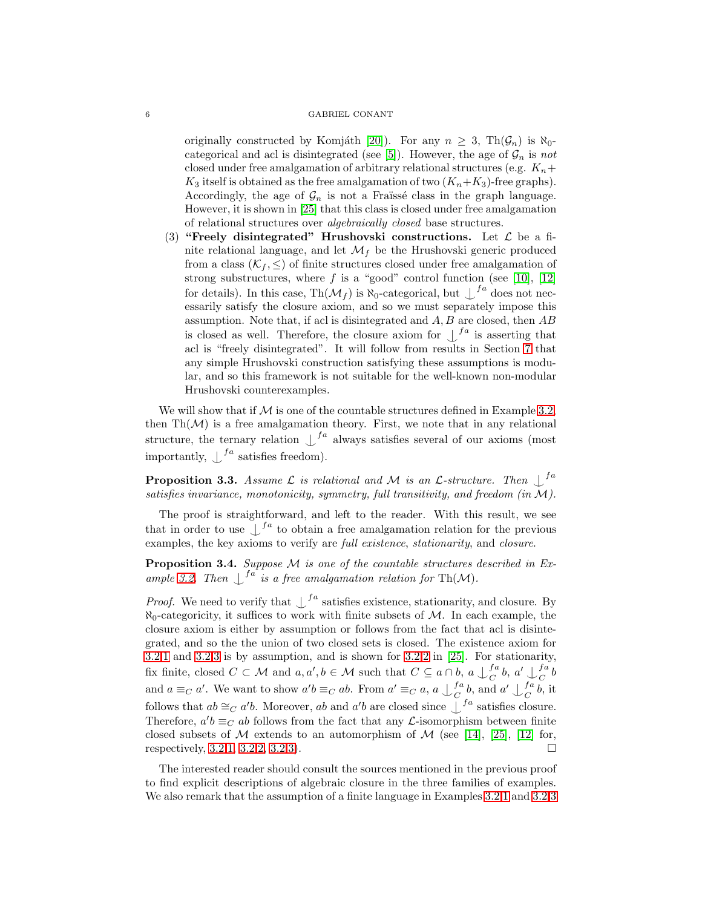originally constructed by Komjáth [\[20\]](#page-22-0)). For any  $n \geq 3$ , Th $(\mathcal{G}_n)$  is  $\aleph_0$ -categorical and acl is disintegrated (see [\[5\]](#page-21-0)). However, the age of  $\mathcal{G}_n$  is not closed under free amalgamation of arbitrary relational structures (e.g.  $K_n+$  $K_3$  itself is obtained as the free amalgamation of two  $(K_n+K_3)$ -free graphs). Accordingly, the age of  $\mathcal{G}_n$  is not a Fraïssé class in the graph language. However, it is shown in [\[25\]](#page-22-1) that this class is closed under free amalgamation of relational structures over algebraically closed base structures.

<span id="page-5-1"></span>(3) "Freely disintegrated" Hrushovski constructions. Let  $\mathcal L$  be a finite relational language, and let  $\mathcal{M}_f$  be the Hrushovski generic produced from a class  $(\mathcal{K}_f, \leq)$  of finite structures closed under free amalgamation of strong substructures, where  $f$  is a "good" control function (see [\[10\]](#page-22-12), [\[12\]](#page-22-2) for details). In this case,  $\text{Th}(\mathcal{M}_f)$  is  $\aleph_0$ -categorical, but  $\bigcup_{i=1}^{f_a}$  does not necessarily satisfy the closure axiom, and so we must separately impose this assumption. Note that, if acl is disintegrated and A, B are closed, then AB is closed as well. Therefore, the closure axiom for  $\int_{a}^{f_a}$  is asserting that acl is "freely disintegrated". It will follow from results in Section [7](#page-14-0) that any simple Hrushovski construction satisfying these assumptions is modular, and so this framework is not suitable for the well-known non-modular Hrushovski counterexamples.

We will show that if  $M$  is one of the countable structures defined in Example [3.2,](#page-4-0) then  $\text{Th}(\mathcal{M})$  is a free amalgamation theory. First, we note that in any relational structure, the ternary relation  $\int_{0}^{f_a}$  always satisfies several of our axioms (most importantly,  $\int^{fa}$  satisfies freedom).

**Proposition 3.3.** Assume  $\mathcal{L}$  is relational and  $\mathcal{M}$  is an  $\mathcal{L}$ -structure. Then  $\bigcup_{i=1}^{f}$ satisfies invariance, monotonicity, symmetry, full transitivity, and freedom (in  $M$ ).

The proof is straightforward, and left to the reader. With this result, we see that in order to use  $\int^{fa}$  to obtain a free amalgamation relation for the previous examples, the key axioms to verify are *full existence*, *stationarity*, and *closure*.

<span id="page-5-0"></span>Proposition 3.4. Suppose M is one of the countable structures described in Ex-ample [3.2.](#page-4-0) Then  $\int^{fa}$  is a free amalgamation relation for Th(M).

*Proof.* We need to verify that  $\int_{1}^{f_a}$  satisfies existence, stationarity, and closure. By  $\aleph_0$ -categoricity, it suffices to work with finite subsets of M. In each example, the closure axiom is either by assumption or follows from the fact that acl is disintegrated, and so the the union of two closed sets is closed. The existence axiom for [3.2](#page-4-0)[.1](#page-4-1) and [3.2](#page-4-0)[.3](#page-5-1) is by assumption, and is shown for [3.2](#page-4-0)[.2](#page-4-2) in [\[25\]](#page-22-1). For stationarity, fix finite, closed  $C \subset \mathcal{M}$  and  $a, a', b \in \mathcal{M}$  such that  $C \subseteq a \cap b$ ,  $a \cup_{C}^{fa}$  $\int_C^{fa} b, a' \bigcup_C^{fa}$  $\frac{J^a}{C}b$ and  $a \equiv_C a'$ . We want to show  $a'b \equiv_C ab$ . From  $a' \equiv_C a$ ,  $a \bigcup_C^{fa}$  $\mathcal{L}_{C}^{fa}$  b, and  $a' \downarrow_{C}^{fa}$  $\int_C^a b$ , it follows that  $ab \cong_C a'b$ . Moreover, ab and  $a'b$  are closed since  $\int_a^{fa}$  satisfies closure. Therefore,  $a'b \equiv_C ab$  follows from the fact that any  $\mathcal{L}$ -isomorphism between finite closed subsets of M extends to an automorphism of M (see [\[14\]](#page-22-11), [\[25\]](#page-22-1), [\[12\]](#page-22-2) for, respectively,  $3.2.1, 3.2.2, 3.2.3$  $3.2.1, 3.2.2, 3.2.3$  $3.2.1, 3.2.2, 3.2.3$  $3.2.1, 3.2.2, 3.2.3$  $3.2.1, 3.2.2, 3.2.3$ .

The interested reader should consult the sources mentioned in the previous proof to find explicit descriptions of algebraic closure in the three families of examples. We also remark that the assumption of a finite language in Examples [3.2.](#page-4-0)[1](#page-4-1) and [3.2.](#page-4-0)[3](#page-5-1)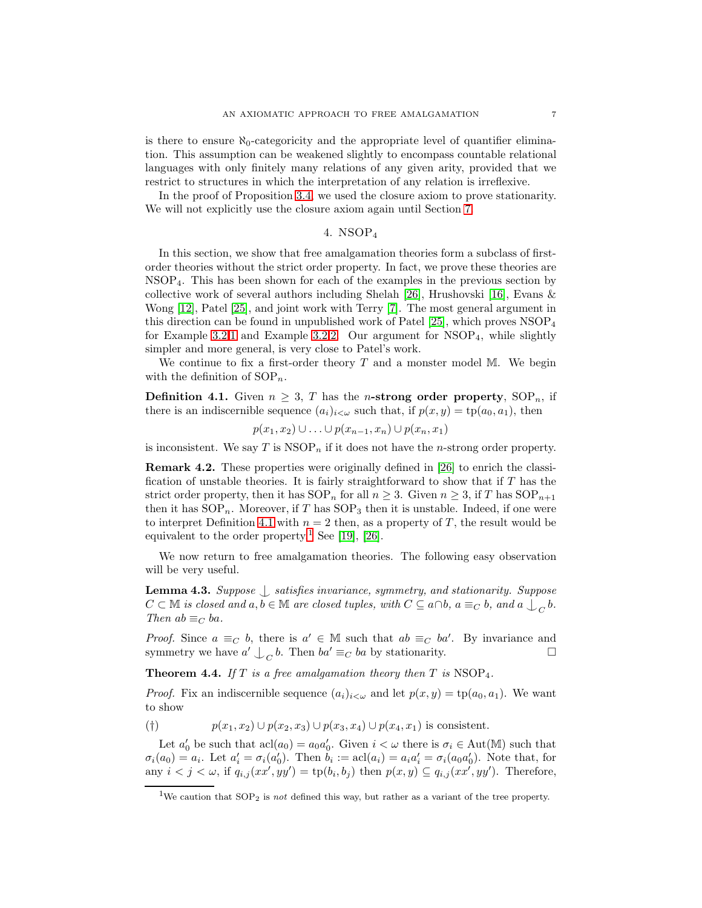is there to ensure  $\aleph_0$ -categoricity and the appropriate level of quantifier elimination. This assumption can be weakened slightly to encompass countable relational languages with only finitely many relations of any given arity, provided that we restrict to structures in which the interpretation of any relation is irreflexive.

In the proof of Proposition [3.4,](#page-5-0) we used the closure axiom to prove stationarity. We will not explicitly use the closure axiom again until Section [7.](#page-14-0)

## 4. NSOP<sup>4</sup>

In this section, we show that free amalgamation theories form a subclass of firstorder theories without the strict order property. In fact, we prove these theories are NSOP4. This has been shown for each of the examples in the previous section by collective work of several authors including Shelah [\[26\]](#page-22-13), Hrushovski [\[16\]](#page-22-7), Evans & Wong [\[12\]](#page-22-2), Patel [\[25\]](#page-22-1), and joint work with Terry [\[7\]](#page-21-3). The most general argument in this direction can be found in unpublished work of Patel [\[25\]](#page-22-1), which proves NSOP<sup>4</sup> for Example [3.2.](#page-4-0)[1](#page-4-1) and Example [3.2](#page-4-0)[.2.](#page-4-2) Our argument for  $NSOP<sub>4</sub>$ , while slightly simpler and more general, is very close to Patel's work.

We continue to fix a first-order theory  $T$  and a monster model M. We begin with the definition of  $SOP_n$ .

<span id="page-6-1"></span>**Definition 4.1.** Given  $n \geq 3$ , T has the *n*-strong order property,  $SOP_n$ , if there is an indiscernible sequence  $(a_i)_{i<\omega}$  such that, if  $p(x, y) = \text{tp}(a_0, a_1)$ , then

$$
p(x_1,x_2) \cup \ldots \cup p(x_{n-1},x_n) \cup p(x_n,x_1)
$$

is inconsistent. We say  $T$  is  $\text{NSOP}_n$  if it does not have the *n*-strong order property.

Remark 4.2. These properties were originally defined in [\[26\]](#page-22-13) to enrich the classification of unstable theories. It is fairly straightforward to show that if T has the strict order property, then it has  $SOP_n$  for all  $n \geq 3$ . Given  $n \geq 3$ , if T has  $SOP_{n+1}$ then it has  $SOP_n$ . Moreover, if T has  $SOP_3$  then it is unstable. Indeed, if one were to interpret Definition [4.1](#page-6-1) with  $n = 2$  then, as a property of T, the result would be equivalent to the order property.<sup>[1](#page-6-2)</sup> See [\[19\]](#page-22-14), [\[26\]](#page-22-13).

We now return to free amalgamation theories. The following easy observation will be very useful.

<span id="page-6-3"></span>**Lemma 4.3.** Suppose  $\int$  satisfies invariance, symmetry, and stationarity. Suppose  $C \subset \mathbb{M}$  is closed and  $a, b \in \mathbb{M}$  are closed tuples, with  $C \subseteq a \cap b$ ,  $a \equiv_C b$ , and  $a \bigcup_C b$ . Then  $ab \equiv_C ba$ .

*Proof.* Since  $a \equiv_C b$ , there is  $a' \in M$  such that  $ab \equiv_C ba'$ . By invariance and symmetry we have  $a' \bigcup_C b$ . Then  $ba' \equiv_C ba$  by stationarity.

<span id="page-6-0"></span>**Theorem 4.4.** If T is a free amalgamation theory then T is  $NSOP_4$ .

*Proof.* Fix an indiscernible sequence  $(a_i)_{i<\omega}$  and let  $p(x, y) = \text{tp}(a_0, a_1)$ . We want to show

(†)  $p(x_1, x_2) \cup p(x_2, x_3) \cup p(x_3, x_4) \cup p(x_4, x_1)$  is consistent.

Let  $a'_0$  be such that  $\text{acl}(a_0) = a_0 a'_0$ . Given  $i < \omega$  there is  $\sigma_i \in \text{Aut}(\mathbb{M})$  such that  $\sigma_i(a_0) = a_i$ . Let  $a'_i = \sigma_i(a'_0)$ . Then  $b_i := \text{acl}(a_i) = a_i a'_i = \sigma_i(a_0 a'_0)$ . Note that, for any  $i < j < \omega$ , if  $q_{i,j}(xx', yy') = \text{tp}(b_i, b_j)$  then  $p(x, y) \subseteq q_{i,j}(xx', yy')$ . Therefore,

<span id="page-6-2"></span><sup>&</sup>lt;sup>1</sup>We caution that  $SOP_2$  is not defined this way, but rather as a variant of the tree property.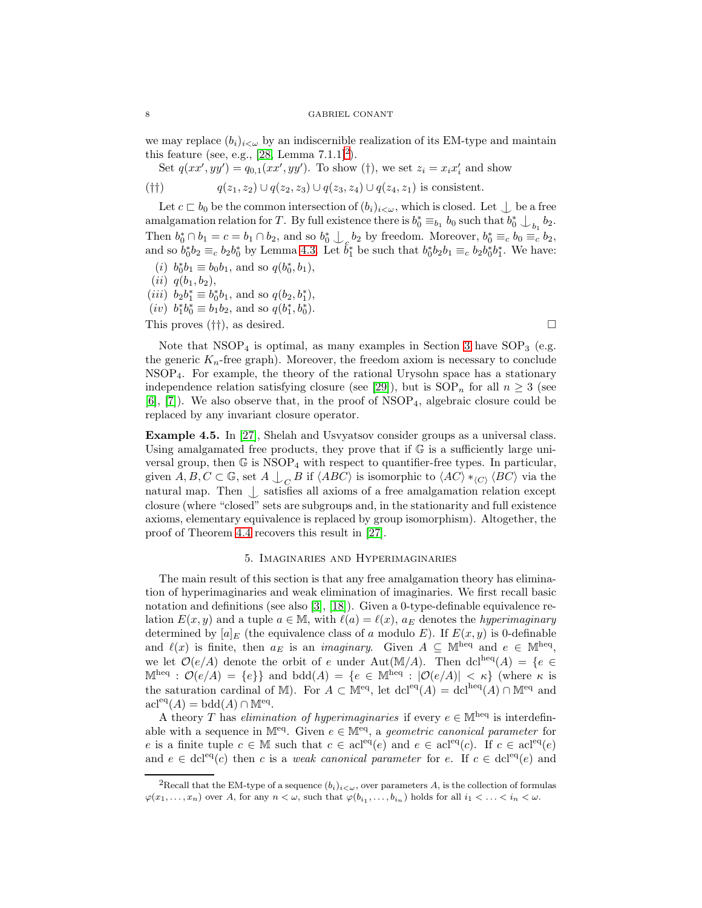we may replace  $(b_i)_{i\leq \omega}$  by an indiscernible realization of its EM-type and maintain this feature (see, e.g.,  $[28, \text{Lemma } 7.1.1]^2$  $[28, \text{Lemma } 7.1.1]^2$  $[28, \text{Lemma } 7.1.1]^2$ ).

Set 
$$
q(xx', yy') = q_{0,1}(xx', yy')
$$
. To show (†), we set  $z_i = x_i x'_i$  and show († $|y|$ )  $q(z_1, z_2) \cup q(z_2, z_3) \cup q(z_3, z_4) \cup q(z_4, z_1)$  is consistent.

Let  $c \sqsubset b_0$  be the common intersection of  $(b_i)_{i < \omega}$ , which is closed. Let  $\bigcup$  be a free amalgamation relation for T. By full existence there is  $b_0^* \equiv_{b_1} b_0$  such that  $b_0^* \bigcup_{b_1} b_2$ . Then  $b_0^* \cap b_1 = c = b_1 \cap b_2$ , and so  $b_0^* \cup_c b_2$  by freedom. Moreover,  $b_0^* \equiv_c b_0 \equiv_c b_2$ , and so  $b_0^*b_2 \equiv_c b_2b_0^*$  by Lemma [4.3.](#page-6-3) Let  $\check{b}_1^*$  be such that  $b_0^*b_2b_1 \equiv_c b_2b_0^*b_1^*$ . We have:

- (*i*)  $b_0^*b_1 \equiv b_0b_1$ , and so  $q(b_0^*, b_1)$ ,
- $(ii)$   $q(b_1, b_2),$
- (*iii*)  $b_2b_1^* \equiv b_0^*b_1$ , and so  $q(b_2, b_1^*)$ ,
- (*iv*)  $b_1^* b_0^* \equiv b_1 b_2$ , and so  $q(b_1^*, b_0^*)$ .

This proves  $(\dagger\dagger)$ , as desired.

Note that  $NSOP_4$  is optimal, as many examples in Section [3](#page-4-3) have  $SOP_3$  (e.g. the generic  $K_n$ -free graph). Moreover, the freedom axiom is necessary to conclude NSOP4. For example, the theory of the rational Urysohn space has a stationary independence relation satisfying closure (see [\[29\]](#page-22-8)), but is  $SOP_n$  for all  $n \geq 3$  (see  $[6]$ ,  $[7]$ . We also observe that, in the proof of NSOP<sub>4</sub>, algebraic closure could be replaced by any invariant closure operator.

Example 4.5. In [\[27\]](#page-22-3), Shelah and Usvyatsov consider groups as a universal class. Using amalgamated free products, they prove that if  $\mathbb G$  is a sufficiently large universal group, then  $\mathbb G$  is  $NSOP_4$  with respect to quantifier-free types. In particular, given  $A, B, C \subset \mathbb{G}$ , set  $A \perp_{C} B$  if  $\langle ABC \rangle$  is isomorphic to  $\langle AC \rangle *_{\langle C \rangle} \langle BC \rangle$  via the natural map. Then  $\perp$  satisfies all axioms of a free amalgamation relation except closure (where "closed" sets are subgroups and, in the stationarity and full existence axioms, elementary equivalence is replaced by group isomorphism). Altogether, the proof of Theorem [4.4](#page-6-0) recovers this result in [\[27\]](#page-22-3).

## 5. Imaginaries and Hyperimaginaries

<span id="page-7-1"></span>The main result of this section is that any free amalgamation theory has elimination of hyperimaginaries and weak elimination of imaginaries. We first recall basic notation and definitions (see also [\[3\]](#page-21-5), [\[18\]](#page-22-16)). Given a 0-type-definable equivalence relation  $E(x, y)$  and a tuple  $a \in \mathbb{M}$ , with  $\ell(a) = \ell(x)$ ,  $a_E$  denotes the *hyperimaginary* determined by  $[a]_E$  (the equivalence class of a modulo E). If  $E(x, y)$  is 0-definable and  $\ell(x)$  is finite, then  $a_E$  is an *imaginary*. Given  $A \subseteq \mathbb{M}^{\text{heq}}$  and  $e \in \mathbb{M}^{\text{heq}}$ , we let  $\mathcal{O}(e/A)$  denote the orbit of e under Aut(M/A). Then dcl<sup>heq</sup>(A) = {e ∈  $\mathbb{M}^{\text{heq}} : \mathcal{O}(e/A) = \{e\}$  and  $\text{bdd}(A) = \{e \in \mathbb{M}^{\text{heq}} : |\mathcal{O}(e/A)| < \kappa\}$  (where  $\kappa$  is the saturation cardinal of M). For  $A \subset M^{eq}$ , let  $dcl^{eq}(A) = dcl^{heq}(A) \cap M^{eq}$  and  $\mathrm{acl}^{\mathrm{eq}}(A) = \mathrm{bdd}(A) \cap \mathbb{M}^{\mathrm{eq}}.$ 

A theory T has *elimination of hyperimaginaries* if every  $e \in \mathbb{M}^{heq}$  is interdefinable with a sequence in M<sup>eq</sup>. Given  $e \in M^{eq}$ , a *geometric canonical parameter* for e is a finite tuple  $c \in \mathbb{M}$  such that  $c \in \operatorname{acl}^{eq}(e)$  and  $e \in \operatorname{acl}^{eq}(c)$ . If  $c \in \operatorname{acl}^{eq}(e)$ and  $e \in \text{dcl}^{\text{eq}}(c)$  then c is a weak canonical parameter for e. If  $c \in \text{dcl}^{\text{eq}}(e)$  and

<span id="page-7-0"></span><sup>&</sup>lt;sup>2</sup>Recall that the EM-type of a sequence  $(b_i)_{i<\omega}$ , over parameters A, is the collection of formulas  $\varphi(x_1,\ldots,x_n)$  over A, for any  $n<\omega$ , such that  $\varphi(b_{i_1},\ldots,b_{i_n})$  holds for all  $i_1<\ldots.$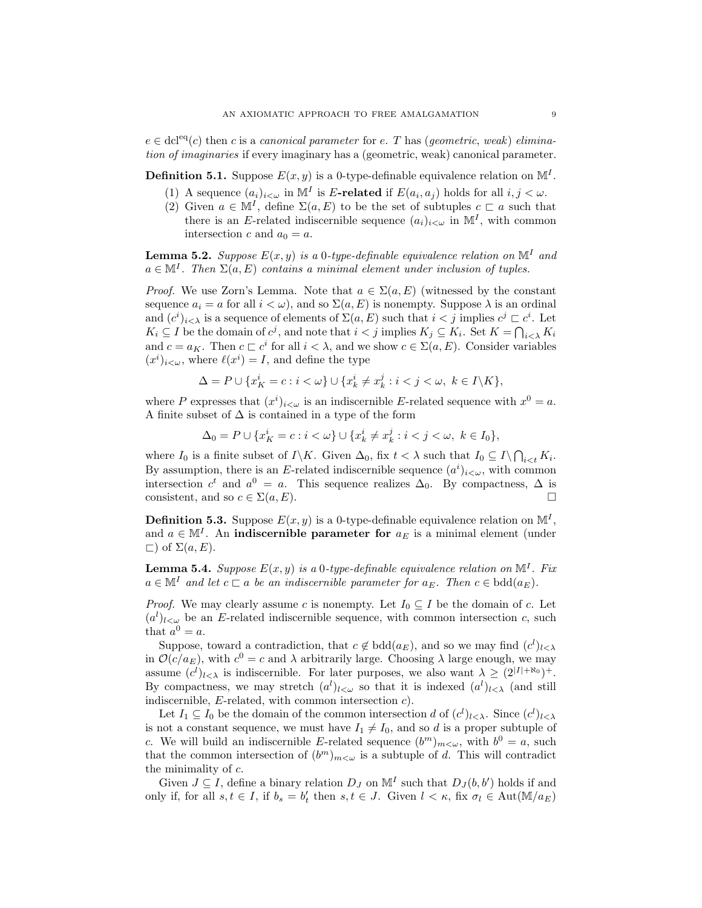$e \in \text{dcl}^{\text{eq}}(c)$  then c is a canonical parameter for e. T has (geometric, weak) elimination of imaginaries if every imaginary has a (geometric, weak) canonical parameter.

**Definition 5.1.** Suppose  $E(x, y)$  is a 0-type-definable equivalence relation on  $\mathbb{M}^I$ .

- (1) A sequence  $(a_i)_{i<\omega}$  in  $\mathbb{M}^I$  is E-related if  $E(a_i, a_j)$  holds for all  $i, j < \omega$ .
- (2) Given  $a \in \mathbb{M}^I$ , define  $\Sigma(a, E)$  to be the set of subtuples  $c \sqsubset a$  such that there is an E-related indiscernible sequence  $(a_i)_{i\leq \omega}$  in  $\mathbb{M}^I$ , with common intersection c and  $a_0 = a$ .

**Lemma 5.2.** Suppose  $E(x, y)$  is a 0-type-definable equivalence relation on  $\mathbb{M}^I$  and  $a \in \mathbb{M}^I$ . Then  $\Sigma(a, E)$  contains a minimal element under inclusion of tuples.

*Proof.* We use Zorn's Lemma. Note that  $a \in \Sigma(a, E)$  (witnessed by the constant sequence  $a_i = a$  for all  $i < \omega$ ), and so  $\Sigma(a, E)$  is nonempty. Suppose  $\lambda$  is an ordinal and  $(c^i)_{i < \lambda}$  is a sequence of elements of  $\Sigma(a, E)$  such that  $i < j$  implies  $c^j \subset c^i$ . Let  $K_i \subseteq I$  be the domain of  $c^j$ , and note that  $i < j$  implies  $K_j \subseteq K_i$ . Set  $K = \bigcap_{i < \lambda} K_i$ and  $c = a_K$ . Then  $c \subset c^i$  for all  $i < \lambda$ , and we show  $c \in \Sigma(a, E)$ . Consider variables  $(x^{i})_{i\leq\omega}$ , where  $\ell(x^{i})=I$ , and define the type

$$
\Delta = P \cup \{x_K^i = c : i < \omega\} \cup \{x_k^i \neq x_k^j : i < j < \omega, \ k \in I \setminus K\},\
$$

where P expresses that  $(x^{i})_{i\leq \omega}$  is an indiscernible E-related sequence with  $x^{0} = a$ . A finite subset of  $\Delta$  is contained in a type of the form

$$
\Delta_0 = P \cup \{ x_K^i = c : i < \omega \} \cup \{ x_k^i \neq x_k^j : i < j < \omega, \ k \in I_0 \},\
$$

where  $I_0$  is a finite subset of  $I\backslash K$ . Given  $\Delta_0$ , fix  $t < \lambda$  such that  $I_0 \subseteq I \backslash \bigcap_{i \leq t} K_i$ . By assumption, there is an E-related indiscernible sequence  $(a^i)_{i \lt \omega}$ , with common intersection  $c^t$  and  $a^0 = a$ . This sequence realizes  $\Delta_0$ . By compactness,  $\Delta$  is consistent, and so  $c \in \Sigma(a, E)$ .

**Definition 5.3.** Suppose  $E(x, y)$  is a 0-type-definable equivalence relation on  $\mathbb{M}^I$ , and  $a \in M<sup>I</sup>$ . An **indiscernible parameter for**  $a<sub>E</sub>$  is a minimal element (under  $\Box$  of  $\Sigma(a, E)$ .

<span id="page-8-0"></span>**Lemma 5.4.** Suppose  $E(x, y)$  is a 0-type-definable equivalence relation on  $\mathbb{M}^I$ . Fix  $a \in \mathbb{M}^I$  and let  $c \sqsubset a$  be an indiscernible parameter for  $a_E$ . Then  $c \in \text{bdd}(a_E)$ .

*Proof.* We may clearly assume c is nonempty. Let  $I_0 \subseteq I$  be the domain of c. Let  $(a^{l})_{l\leq\omega}$  be an E-related indiscernible sequence, with common intersection c, such that  $a^0 = a$ .

Suppose, toward a contradiction, that  $c \notin \text{bdd}(a_E)$ , and so we may find  $(c^l)_{l \leq \lambda}$ in  $\mathcal{O}(c/a_E)$ , with  $c^0 = c$  and  $\lambda$  arbitrarily large. Choosing  $\lambda$  large enough, we may assume  $(c^{l})_{l<\lambda}$  is indiscernible. For later purposes, we also want  $\lambda \geq (2^{|I|+ \aleph_0})^+$ . By compactness, we may stretch  $(a^l)_{l \leq \omega}$  so that it is indexed  $(a^l)_{l \leq \lambda}$  (and still indiscernible,  $E$ -related, with common intersection  $c$ ).

Let  $I_1 \subseteq I_0$  be the domain of the common intersection d of  $(c^l)_{l \leq \lambda}$ . Since  $(c^l)_{l \leq \lambda}$ is not a constant sequence, we must have  $I_1 \neq I_0$ , and so d is a proper subtuple of c. We will build an indiscernible E-related sequence  $(b^m)_{m < \omega}$ , with  $b^0 = a$ , such that the common intersection of  $(b^m)_{m<\omega}$  is a subtuple of d. This will contradict the minimality of c.

Given  $J \subseteq I$ , define a binary relation  $D_J$  on  $\mathbb{M}^I$  such that  $D_J(b, b')$  holds if and only if, for all  $s, t \in I$ , if  $b_s = b'_t$  then  $s, t \in J$ . Given  $l < \kappa$ , fix  $\sigma_l \in \text{Aut}(\mathbb{M}/a_E)$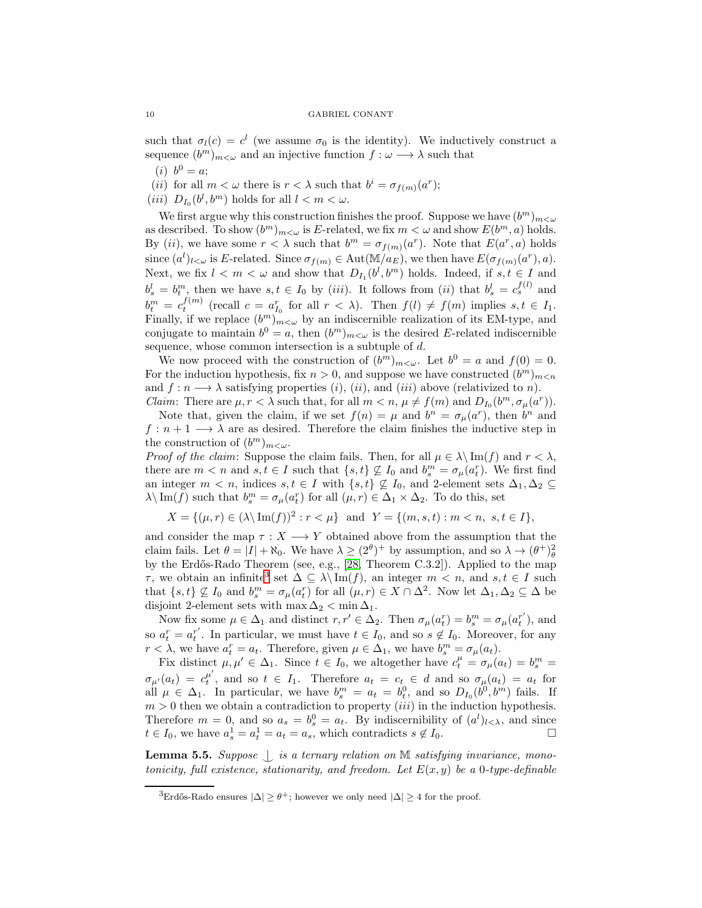such that  $\sigma_l(c) = c^l$  (we assume  $\sigma_0$  is the identity). We inductively construct a sequence  $(b^m)_{m \lt \omega}$  and an injective function  $f : \omega \longrightarrow \lambda$  such that

(*i*)  $b^0 = a;$ 

(*ii*) for all  $m < \omega$  there is  $r < \lambda$  such that  $b^i = \sigma_{f(m)}(a^r);$ 

(*iii*)  $D_{I_0}(b^l, b^m)$  holds for all  $l < m < \omega$ .

We first argue why this construction finishes the proof. Suppose we have  $(b^m)_{m < \omega}$ as described. To show  $(b^m)_{m < \omega}$  is E-related, we fix  $m < \omega$  and show  $E(b^m, a)$  holds. By (*ii*), we have some  $r < \lambda$  such that  $b^m = \sigma_{f(m)}(a^r)$ . Note that  $E(a^r, a)$  holds since  $(a^l)_{l\leq\omega}$  is E-related. Since  $\sigma_{f(m)} \in \text{Aut}(\mathbb{M}/a_E)$ , we then have  $E(\sigma_{f(m)}(a^r), a)$ . Next, we fix  $l < m < \omega$  and show that  $D_{I_1}(b^l, b^m)$  holds. Indeed, if  $s, t \in I$  and  $b_s^l = b_t^m$ , then we have  $s, t \in I_0$  by (iii). It follows from (ii) that  $b_s^l = c_s^{f(l)}$  and  $b_t^m = c_t^{f(m)}$  (recall  $c = a_{I_0}^r$  for all  $r < \lambda$ ). Then  $f(l) \neq f(m)$  implies  $s, t \in I_1$ . Finally, if we replace  $(b^m)_{m<\omega}$  by an indiscernible realization of its EM-type, and conjugate to maintain  $b^0 = a$ , then  $(b^m)_{m < \omega}$  is the desired E-related indiscernible sequence, whose common intersection is a subtuple of d.

We now proceed with the construction of  $(b^m)_{m < \omega}$ . Let  $b^0 = a$  and  $f(0) = 0$ . For the induction hypothesis, fix  $n > 0$ , and suppose we have constructed  $(b^m)_{m \le n}$ and  $f: n \longrightarrow \lambda$  satisfying properties  $(i)$ ,  $(ii)$ , and  $(iii)$  above (relativized to n). *Claim:* There are  $\mu, r < \lambda$  such that, for all  $m < n$ ,  $\mu \neq f(m)$  and  $D_{I_0}(b^m, \sigma_{\mu}(a^r))$ .

Note that, given the claim, if we set  $f(n) = \mu$  and  $b^n = \sigma_\mu(a^r)$ , then  $b^n$  and  $f: n+1 \longrightarrow \lambda$  are as desired. Therefore the claim finishes the inductive step in the construction of  $(b^m)_{m < \omega}$ .

*Proof of the claim:* Suppose the claim fails. Then, for all  $\mu \in \lambda \setminus \text{Im}(f)$  and  $r < \lambda$ , there are  $m < n$  and  $s, t \in I$  such that  $\{s, t\} \nsubseteq I_0$  and  $b_s^m = \sigma_\mu(a_t^r)$ . We first find an integer  $m < n$ , indices  $s, t \in I$  with  $\{s, t\} \nsubseteq I_0$ , and 2-element sets  $\Delta_1, \Delta_2 \subseteq$  $\lambda \setminus \text{Im}(f)$  such that  $b_s^m = \sigma_\mu(a_t^r)$  for all  $(\mu, r) \in \Delta_1 \times \Delta_2$ . To do this, set

 $X = \{(\mu, r) \in (\lambda \setminus \text{Im}(f))^2 : r < \mu \}$  and  $Y = \{(m, s, t) : m < n, s, t \in I\},\$ 

and consider the map  $\tau : X \longrightarrow Y$  obtained above from the assumption that the claim fails. Let  $\theta = |I| + \aleph_0$ . We have  $\lambda \geq (2^{\theta})^+$  by assumption, and so  $\lambda \to (\theta^+)_\theta^2$ by the Erdős-Rado Theorem (see, e.g., [\[28,](#page-22-15) Theorem C.3.2]). Applied to the map  $\tau$ , we obtain an infinite<sup>[3](#page-9-0)</sup> set  $\Delta \subseteq \lambda \setminus \text{Im}(f)$ , an integer  $m \lt n$ , and  $s, t \in I$  such that  $\{s, t\} \nsubseteq I_0$  and  $b_s^m = \sigma_\mu(a_t^r)$  for all  $(\mu, r) \in X \cap \Delta^2$ . Now let  $\Delta_1, \Delta_2 \subseteq \Delta$  be disjoint 2-element sets with  $\max \Delta_2 < \min \Delta_1$ .

Now fix some  $\mu \in \Delta_1$  and distinct  $r, r' \in \Delta_2$ . Then  $\sigma_{\mu}(a_t^r) = b_s^m = \sigma_{\mu}(a_t^{r'})$  $t^r$ , and so  $a_t^r = a_t^{r'}$ <sup>r</sup>. In particular, we must have  $t \in I_0$ , and so  $s \notin I_0$ . Moreover, for any  $r < \lambda$ , we have  $a_t^r = a_t$ . Therefore, given  $\mu \in \Delta_1$ , we have  $b_s^m = \sigma_\mu(a_t)$ .

Fix distinct  $\mu, \mu' \in \Delta_1$ . Since  $t \in I_0$ , we altogether have  $c_t^{\mu} = \sigma_{\mu}(a_t) = b_s^m$  $\sigma_{\mu'}(a_t) = c_t^{\mu'}$  $t_t^{\mu}$ , and so  $t \in I_1$ . Therefore  $a_t = c_t \in d$  and so  $\sigma_{\mu}(a_t) = a_t$  for all  $\mu \in \Delta_1$ . In particular, we have  $b_s^m = a_t = b_t^0$ , and so  $D_{I_0}(b^0, b^m)$  fails. If  $m > 0$  then we obtain a contradiction to property *(iii)* in the induction hypothesis. Therefore  $m = 0$ , and so  $a_s = b_s^0 = a_t$ . By indiscernibility of  $(a^l)_{l \leq \lambda}$ , and since  $t \in I_0$ , we have  $a_s^1 = a_t^1 = a_t = a_s$ , which contradicts  $s \notin I_0$ .

<span id="page-9-1"></span>**Lemma 5.5.** Suppose  $\bigcup$  is a ternary relation on M satisfying invariance, monotonicity, full existence, stationarity, and freedom. Let  $E(x, y)$  be a 0-type-definable

<span id="page-9-0"></span><sup>&</sup>lt;sup>3</sup>Erdős-Rado ensures  $|\Delta| \geq \theta^+$ ; however we only need  $|\Delta| \geq 4$  for the proof.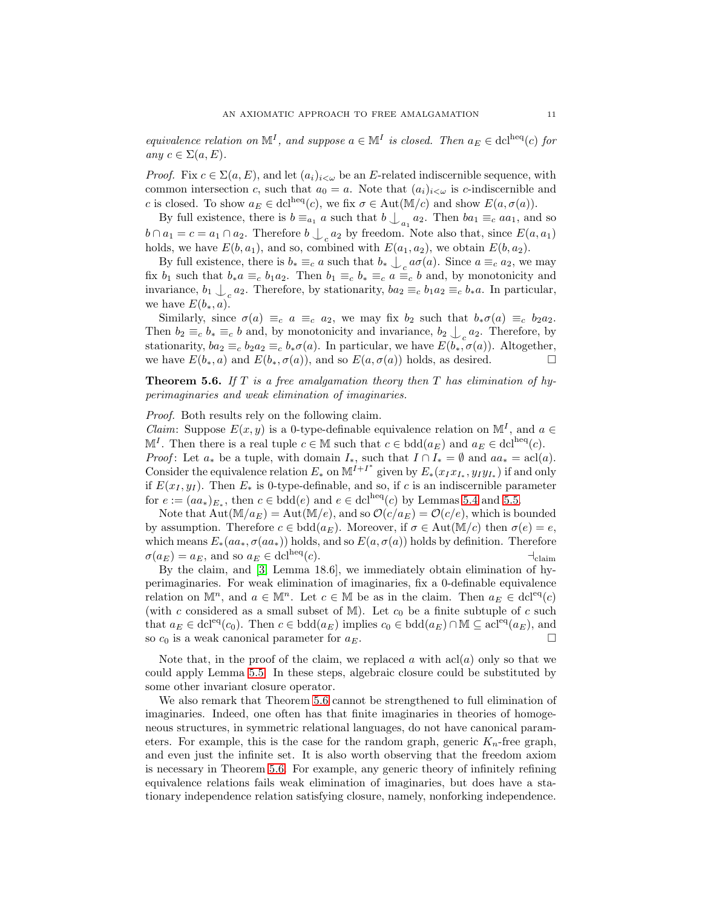equivalence relation on  $\mathbb{M}^I$ , and suppose  $a \in \mathbb{M}^I$  is closed. Then  $a_E \in \text{dcl}^{\text{heq}}(c)$  for any  $c \in \Sigma(a, E)$ .

*Proof.* Fix  $c \in \Sigma(a, E)$ , and let  $(a_i)_{i < \omega}$  be an E-related indiscernible sequence, with common intersection c, such that  $a_0 = a$ . Note that  $(a_i)_{i < \omega}$  is c-indiscernible and c is closed. To show  $a_E \in \text{dcl}^{\text{heq}}(c)$ , we fix  $\sigma \in \text{Aut}(\mathbb{M}/c)$  and show  $E(a, \sigma(a))$ .

By full existence, there is  $b \equiv_{a_1} a$  such that  $b \bigcup_{a_1} a_2$ . Then  $ba_1 \equiv_c aa_1$ , and so  $b \cap a_1 = c = a_1 \cap a_2$ . Therefore  $b \bigcup_{c} a_2$  by freedom. Note also that, since  $E(a, a_1)$ holds, we have  $E(b, a_1)$ , and so, combined with  $E(a_1, a_2)$ , we obtain  $E(b, a_2)$ .

By full existence, there is  $b_* \equiv_c a$  such that  $b_* \perp_c a\sigma(a)$ . Since  $a \equiv_c a_2$ , we may fix  $b_1$  such that  $b_*a \equiv_c b_1a_2$ . Then  $b_1 \equiv_c b_* \equiv_c a \equiv_c b$  and, by monotonicity and invariance,  $b_1 \bigcup_c a_2$ . Therefore, by stationarity,  $ba_2 \equiv_c b_1 a_2 \equiv_c b_* a$ . In particular, we have  $E(b_*, a)$ .

Similarly, since  $\sigma(a) \equiv_c a \equiv_c a_2$ , we may fix  $b_2$  such that  $b_*\sigma(a) \equiv_c b_2a_2$ . Then  $b_2 \equiv_c b_* \equiv_c b$  and, by monotonicity and invariance,  $b_2 \bigcup_c a_2$ . Therefore, by stationarity,  $ba_2 \equiv_c b_2 a_2 \equiv_c b_* \sigma(a)$ . In particular, we have  $E(b_*, \sigma(a))$ . Altogether, we have  $E(b_*, a)$  and  $E(b_*, \sigma(a))$ , and so  $E(a, \sigma(a))$  holds, as desired.

<span id="page-10-0"></span>**Theorem 5.6.** If T is a free amalgamation theory then T has elimination of hyperimaginaries and weak elimination of imaginaries.

Proof. Both results rely on the following claim.

*Claim:* Suppose  $E(x, y)$  is a 0-type-definable equivalence relation on  $\mathbb{M}^I$ , and  $a \in$  $\mathbb{M}^I$ . Then there is a real tuple  $c \in \mathbb{M}$  such that  $c \in \text{bdd}(a_E)$  and  $a_E \in \text{dcl}^{\text{heq}}(c)$ .

*Proof*: Let  $a_*$  be a tuple, with domain  $I_*,$  such that  $I \cap I_* = \emptyset$  and  $aa_* = \operatorname{acl}(a)$ . Consider the equivalence relation  $E_*$  on  $\mathbb{M}^{I+I^*}$  given by  $E_*(x_I x_{I_*}, y_I y_{I_*})$  if and only if  $E(x_I, y_I)$ . Then  $E_*$  is 0-type-definable, and so, if c is an indiscernible parameter for  $e := (aa_*)_{E_*}$ , then  $c \in \text{bdd}(e)$  and  $e \in \text{dcl}^{\text{heq}}(c)$  by Lemmas [5.4](#page-8-0) and [5.5.](#page-9-1)

Note that  $Aut(M/a_E) = Aut(M/e)$ , and so  $\mathcal{O}(c/a_E) = \mathcal{O}(c/e)$ , which is bounded by assumption. Therefore  $c \in \text{bdd}(a_E)$ . Moreover, if  $\sigma \in \text{Aut}(\mathbb{M}/c)$  then  $\sigma(e) = e$ , which means  $E_*(aa_*, \sigma(aa_*))$  holds, and so  $E(a, \sigma(a))$  holds by definition. Therefore  $\sigma(a_E) = a_E$ , and so  $a_E \in \text{dcl}^{\text{heq}}(c)$ .

By the claim, and [\[3,](#page-21-5) Lemma 18.6], we immediately obtain elimination of hyperimaginaries. For weak elimination of imaginaries, fix a 0-definable equivalence relation on  $\mathbb{M}^n$ , and  $a \in \mathbb{M}^n$ . Let  $c \in \mathbb{M}$  be as in the claim. Then  $a_E \in \text{dcl}^{\text{eq}}(c)$ (with c considered as a small subset of M). Let  $c_0$  be a finite subtuple of c such that  $a_E \in \text{dcl}^{\text{eq}}(c_0)$ . Then  $c \in \text{bdd}(a_E)$  implies  $c_0 \in \text{bdd}(a_E) \cap \mathbb{M} \subseteq \text{acl}^{\text{eq}}(a_E)$ , and so  $c_0$  is a weak canonical parameter for  $a_E$ .

Note that, in the proof of the claim, we replaced a with  $\operatorname{acl}(a)$  only so that we could apply Lemma [5.5.](#page-9-1) In these steps, algebraic closure could be substituted by some other invariant closure operator.

We also remark that Theorem [5.6](#page-10-0) cannot be strengthened to full elimination of imaginaries. Indeed, one often has that finite imaginaries in theories of homogeneous structures, in symmetric relational languages, do not have canonical parameters. For example, this is the case for the random graph, generic  $K_n$ -free graph, and even just the infinite set. It is also worth observing that the freedom axiom is necessary in Theorem [5.6.](#page-10-0) For example, any generic theory of infinitely refining equivalence relations fails weak elimination of imaginaries, but does have a stationary independence relation satisfying closure, namely, nonforking independence.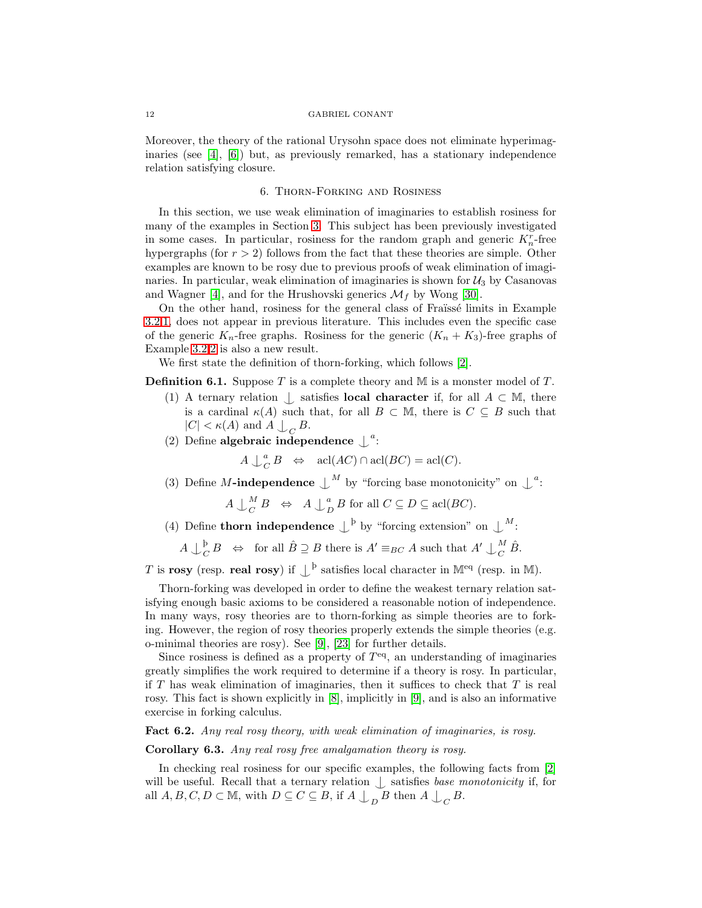Moreover, the theory of the rational Urysohn space does not eliminate hyperimaginaries (see [\[4\]](#page-21-2), [\[6\]](#page-21-4)) but, as previously remarked, has a stationary independence relation satisfying closure.

# 6. Thorn-Forking and Rosiness

In this section, we use weak elimination of imaginaries to establish rosiness for many of the examples in Section [3.](#page-4-3) This subject has been previously investigated in some cases. In particular, rosiness for the random graph and generic  $K_n^r$ -free hypergraphs (for  $r > 2$ ) follows from the fact that these theories are simple. Other examples are known to be rosy due to previous proofs of weak elimination of imaginaries. In particular, weak elimination of imaginaries is shown for  $\mathcal{U}_3$  by Casanovas and Wagner [\[4\]](#page-21-2), and for the Hrushovski generics  $\mathcal{M}_f$  by Wong [\[30\]](#page-22-17).

On the other hand, rosiness for the general class of Fraïssé limits in Example [3.2](#page-4-0)[.1,](#page-4-1) does not appear in previous literature. This includes even the specific case of the generic  $K_n$ -free graphs. Rosiness for the generic  $(K_n + K_3)$ -free graphs of Example [3.2](#page-4-0)[.2](#page-4-2) is also a new result.

We first state the definition of thorn-forking, which follows [\[2\]](#page-21-1).

**Definition 6.1.** Suppose T is a complete theory and M is a monster model of T.

- (1) A ternary relation  $\bigcup$  satisfies **local character** if, for all  $A \subset M$ , there is a cardinal  $\kappa(A)$  such that, for all  $B \subset M$ , there is  $C \subseteq B$  such that  $|C| < \kappa(A)$  and  $A \bigcup_C B$ .
- (2) Define algebraic independence  $\int^a$ :

 $A\bigcup_{\mathcal{C}}^a$  $_{C}^{a}B \Leftrightarrow \text{acl}(AC) \cap \text{acl}(BC) = \text{acl}(C).$ 

(3) Define M-independence  $\bigcup^M$  by "forcing base monotonicity" on  $\bigcup^a$ :

 $A \downarrow_C^M$  $\begin{array}{ccc} M & B & \Leftrightarrow & A \downarrow^a_L \end{array}$  $_D^a B$  for all  $C \subseteq D \subseteq \operatorname{acl}(BC)$ .

(4) Define **thorn independence**  $\perp^{\mathbf{b}}$  by "forcing extension" on  $\perp^M$ :

 $A\downarrow_c^{\underline{\mathfrak{b}}}$  $\bigcup_{C}^{b} B \Rightarrow$  for all  $\hat{B} \supseteq B$  there is  $A' \equiv_{BC} A$  such that  $A' \cup_{C}^{M} A$  $\frac{M}{C} \hat{B}.$ 

T is rosy (resp. real rosy) if  $\perp^{\mathfrak{b}}$  satisfies local character in M<sup>eq</sup> (resp. in M).

Thorn-forking was developed in order to define the weakest ternary relation satisfying enough basic axioms to be considered a reasonable notion of independence. In many ways, rosy theories are to thorn-forking as simple theories are to forking. However, the region of rosy theories properly extends the simple theories (e.g. o-minimal theories are rosy). See [\[9\]](#page-21-6), [\[23\]](#page-22-4) for further details.

Since rosiness is defined as a property of  $T<sup>eq</sup>$ , an understanding of imaginaries greatly simplifies the work required to determine if a theory is rosy. In particular, if  $T$  has weak elimination of imaginaries, then it suffices to check that  $T$  is real rosy. This fact is shown explicitly in [\[8\]](#page-21-7), implicitly in [\[9\]](#page-21-6), and is also an informative exercise in forking calculus.

<span id="page-11-0"></span>Fact 6.2. Any real rosy theory, with weak elimination of imaginaries, is rosy.

# Corollary 6.3. Any real rosy free amalgamation theory is rosy.

In checking real rosiness for our specific examples, the following facts from [\[2\]](#page-21-1) will be useful. Recall that a ternary relation  $\bigcup$  satisfies base monotonicity if, for all  $A, B, C, D \subset \mathbb{M}$ , with  $D \subseteq C \subseteq B$ , if  $A \bigcup_{D} B$  then  $A \bigcup_{C} B$ .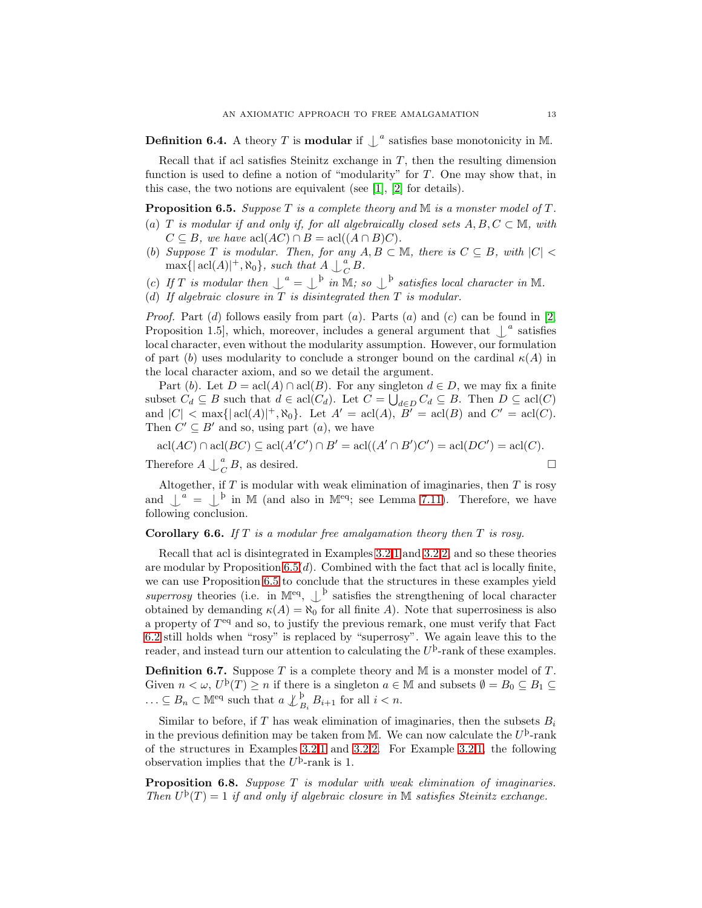**Definition 6.4.** A theory T is **modular** if  $\int_a^b$  satisfies base monotonicity in M.

Recall that if acl satisfies Steinitz exchange in  $T$ , then the resulting dimension function is used to define a notion of "modularity" for  $T$ . One may show that, in this case, the two notions are equivalent (see [\[1\]](#page-21-8), [\[2\]](#page-21-1) for details).

<span id="page-12-0"></span>**Proposition 6.5.** Suppose T is a complete theory and M is a monster model of T. (a) T is modular if and only if, for all algebraically closed sets  $A, B, C \subset \mathbb{M}$ , with  $C \subseteq B$ , we have acl $(AC) \cap B = \text{acl}((A \cap B)C)$ .

- (b) Suppose T is modular. Then, for any  $A, B \subset \mathbb{M}$ , there is  $C \subseteq B$ , with  $|C|$  $\max\{|\operatorname{acl}(A)|^+, \aleph_0\}$ , such that  $A \downarrow_c^a$  $\frac{a}{C}B.$
- (c) If T is modular then  $\mathcal{L}^a = \mathcal{L}^b$  in M; so  $\mathcal{L}^b$  satisfies local character in M.
- (d) If algebraic closure in  $T$  is disintegrated then  $T$  is modular.

*Proof.* Part  $(d)$  follows easily from part  $(a)$ . Parts  $(a)$  and  $(c)$  can be found in [\[2,](#page-21-1) Proposition 1.5, which, moreover, includes a general argument that  $\downarrow^a$  satisfies local character, even without the modularity assumption. However, our formulation of part (b) uses modularity to conclude a stronger bound on the cardinal  $\kappa(A)$  in the local character axiom, and so we detail the argument.

Part (b). Let  $D = \text{acl}(A) \cap \text{acl}(B)$ . For any singleton  $d \in D$ , we may fix a finite subset  $C_d \subseteq B$  such that  $d \in \text{acl}(C_d)$ . Let  $C = \bigcup_{d \in D} C_d \subseteq B$ . Then  $D \subseteq \text{acl}(C)$ and  $|C| < \max\{| \operatorname{acl}(A)|^+, \aleph_0\}$ . Let  $A' = \operatorname{acl}(A)$ ,  $B' = \operatorname{acl}(B)$  and  $C' = \operatorname{acl}(C)$ . Then  $C' \subseteq B'$  and so, using part  $(a)$ , we have

$$
acl(AC) \cap acl(BC) \subseteq acl(A'C') \cap B' = acl((A' \cap B')C') = acl(DC') = acl(C).
$$
  
Therefore  $A \perp_C^a B$ , as desired.

Altogether, if  $T$  is modular with weak elimination of imaginaries, then  $T$  is rosy and  $\bigcup_{a=1}^{\infty}$  in M (and also in M<sup>eq</sup>; see Lemma [7.11\)](#page-16-0). Therefore, we have following conclusion.

# <span id="page-12-1"></span>**Corollary 6.6.** If  $T$  is a modular free amalgamation theory then  $T$  is rosy.

Recall that acl is disintegrated in Examples [3.2.](#page-4-0)[1](#page-4-1) and [3.2.](#page-4-0)[2,](#page-4-2) and so these theories are modular by Proposition  $6.5(d)$ . Combined with the fact that acl is locally finite, we can use Proposition [6.5](#page-12-0) to conclude that the structures in these examples yield superrosy theories (i.e. in  $\mathbb{M}^{eq}$ ,  $\bigcup^{\mathfrak{b}}$  satisfies the strengthening of local character obtained by demanding  $\kappa(A) = \aleph_0$  for all finite A). Note that superrosiness is also a property of  $T<sup>eq</sup>$  and so, to justify the previous remark, one must verify that Fact [6.2](#page-11-0) still holds when "rosy" is replaced by "superrosy". We again leave this to the reader, and instead turn our attention to calculating the  $U^{\mathrm{b}}$ -rank of these examples.

**Definition 6.7.** Suppose T is a complete theory and M is a monster model of T. Given  $n < \omega$ ,  $U^{\mathrm{p}}(T) \ge n$  if there is a singleton  $a \in \mathbb{M}$  and subsets  $\emptyset = B_0 \subseteq B_1 \subseteq$  $\ldots \subseteq B_n \subset \mathbb{M}^{\text{eq}}$  such that  $a \nleq B_i B_{i+1}$  for all  $i < n$ .

Similar to before, if T has weak elimination of imaginaries, then the subsets  $B_i$ in the previous definition may be taken from M. We can now calculate the  $U^{\mathrm{b}}$ -rank of the structures in Examples [3.2](#page-4-0)[.1](#page-4-1) and [3.2.](#page-4-0)[2.](#page-4-2) For Example [3.2](#page-4-0)[.1,](#page-4-1) the following observation implies that the  $U^{\mathsf{b}}$ -rank is 1.

<span id="page-12-2"></span>**Proposition 6.8.** Suppose  $T$  is modular with weak elimination of imaginaries. Then  $U^{\rm b}(T) = 1$  if and only if algebraic closure in M satisfies Steinitz exchange.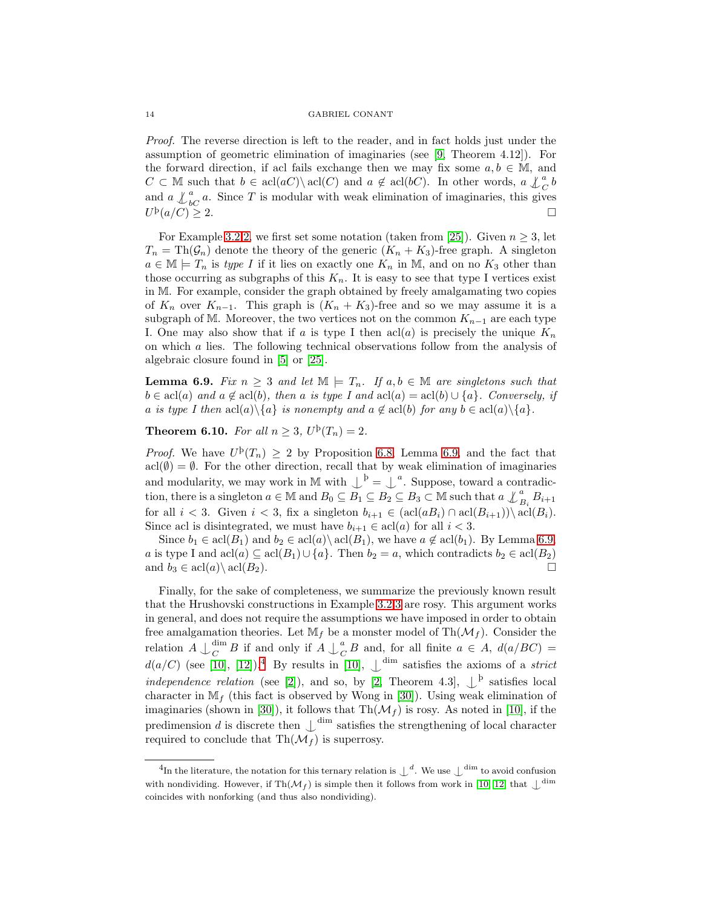Proof. The reverse direction is left to the reader, and in fact holds just under the assumption of geometric elimination of imaginaries (see [\[9,](#page-21-6) Theorem 4.12]). For the forward direction, if acl fails exchange then we may fix some  $a, b \in M$ , and  $C \subset \mathbb{M}$  such that  $b \in \text{acl}(aC) \setminus \text{acl}(C)$  and  $a \notin \text{acl}(bC)$ . In other words,  $a \not\perp_{C}^{a} b$ and  $a \nightharpoonup_{b}^a a$ . Since T is modular with weak elimination of imaginaries, this gives  $U^{\rm b}(a/C) \geq 2.$ 

For Example [3.2](#page-4-0)[.2,](#page-4-2) we first set some notation (taken from [\[25\]](#page-22-1)). Given  $n \geq 3$ , let  $T_n = \text{Th}(\mathcal{G}_n)$  denote the theory of the generic  $(K_n + K_3)$ -free graph. A singleton  $a \in \mathbb{M} \models T_n$  is type I if it lies on exactly one  $K_n$  in  $\mathbb{M}$ , and on no  $K_3$  other than those occurring as subgraphs of this  $K_n$ . It is easy to see that type I vertices exist in M. For example, consider the graph obtained by freely amalgamating two copies of  $K_n$  over  $K_{n-1}$ . This graph is  $(K_n + K_3)$ -free and so we may assume it is a subgraph of M. Moreover, the two vertices not on the common  $K_{n-1}$  are each type I. One may also show that if a is type I then  $\operatorname{acl}(a)$  is precisely the unique  $K_n$ on which a lies. The following technical observations follow from the analysis of algebraic closure found in [\[5\]](#page-21-0) or [\[25\]](#page-22-1).

<span id="page-13-1"></span>**Lemma 6.9.** Fix  $n \geq 3$  and let  $\mathbb{M} \models T_n$ . If  $a, b \in \mathbb{M}$  are singletons such that  $b \in \text{acl}(a)$  and  $a \notin \text{acl}(b)$ , then a is type I and  $\text{acl}(a) = \text{acl}(b) \cup \{a\}$ . Conversely, if a is type I then  $\text{acl}(a)\setminus\{a\}$  is nonempty and  $a \notin \text{acl}(b)$  for any  $b \in \text{acl}(a)\setminus\{a\}.$ 

<span id="page-13-0"></span>**Theorem 6.10.** For all  $n \geq 3$ ,  $U^{\mathrm{p}}(T_n) = 2$ .

*Proof.* We have  $U^{\mathrm{p}}(T_n) \geq 2$  by Proposition [6.8,](#page-12-2) Lemma [6.9,](#page-13-1) and the fact that  $\text{acl}(\emptyset) = \emptyset$ . For the other direction, recall that by weak elimination of imaginaries and modularity, we may work in M with  $\bigcup^{\mathfrak{b}} = \bigcup^{\mathfrak{a}}$ . Suppose, toward a contradiction, there is a singleton  $a \in \mathbb{M}$  and  $B_0 \subseteq \overline{B_1} \subseteq \overline{B_2} \subseteq B_3 \subset \mathbb{M}$  such that  $a \nleq_{B_i}^a B_{i+1}$ for all  $i < 3$ . Given  $i < 3$ , fix a singleton  $b_{i+1} \in (\text{acl}(aB_i) \cap \text{acl}(B_{i+1})) \setminus \text{acl}(B_i)$ . Since acl is disintegrated, we must have  $b_{i+1} \in \text{acl}(a)$  for all  $i < 3$ .

Since  $b_1 \in \text{acl}(B_1)$  and  $b_2 \in \text{acl}(a) \setminus \text{acl}(B_1)$ , we have  $a \notin \text{acl}(b_1)$ . By Lemma [6.9,](#page-13-1) a is type I and  $\text{acl}(a) \subseteq \text{acl}(B_1) \cup \{a\}$ . Then  $b_2 = a$ , which contradicts  $b_2 \in \text{acl}(B_2)$ and  $b_3 \in \text{acl}(a) \setminus \text{acl}(B_2)$ .

Finally, for the sake of completeness, we summarize the previously known result that the Hrushovski constructions in Example [3.2.](#page-4-0)[3](#page-5-1) are rosy. This argument works in general, and does not require the assumptions we have imposed in order to obtain free amalgamation theories. Let  $\mathbb{M}_f$  be a monster model of Th $(\mathcal{M}_f)$ . Consider the relation  $A \bigcup_{C}^{\dim}$  $\frac{\dim B}{C}$  if and only if  $A \downarrow_{C}^{a}$  $_{C}^{a}B$  and, for all finite  $a \in A$ ,  $d(a/BC) =$  $d(a/C)$  (see [\[10\]](#page-22-12), [\[12\]](#page-22-2)).<sup>[4](#page-13-2)</sup> By results in [10],  $\bigcup^{\text{dim}}$  satisfies the axioms of a *strict* independence relation (see [\[2\]](#page-21-1)), and so, by [\[2,](#page-21-1) Theorem 4.3],  $\downarrow^b$  satisfies local character in  $\mathbb{M}_f$  (this fact is observed by Wong in [\[30\]](#page-22-17)). Using weak elimination of imaginaries (shown in [\[30\]](#page-22-17)), it follows that  $\text{Th}(\mathcal{M}_f)$  is rosy. As noted in [\[10\]](#page-22-12), if the predimension d is discrete then  $\bigcup_{\alpha=1}^{\dim}$  satisfies the strengthening of local character required to conclude that  $\text{Th}(\mathcal{M}_f)$  is superrosy.

<span id="page-13-2"></span><sup>&</sup>lt;sup>4</sup>In the literature, the notation for this ternary relation is  $\perp^d$ . We use  $\perp^{\text{dim}}$  to avoid confusion with nondividing. However, if  $\text{Th}(\mathcal{M}_f)$  is simple then it follows from work in [\[10,](#page-22-12) [12\]](#page-22-2) that  $\perp^{\text{dim}}$ coincides with nonforking (and thus also nondividing).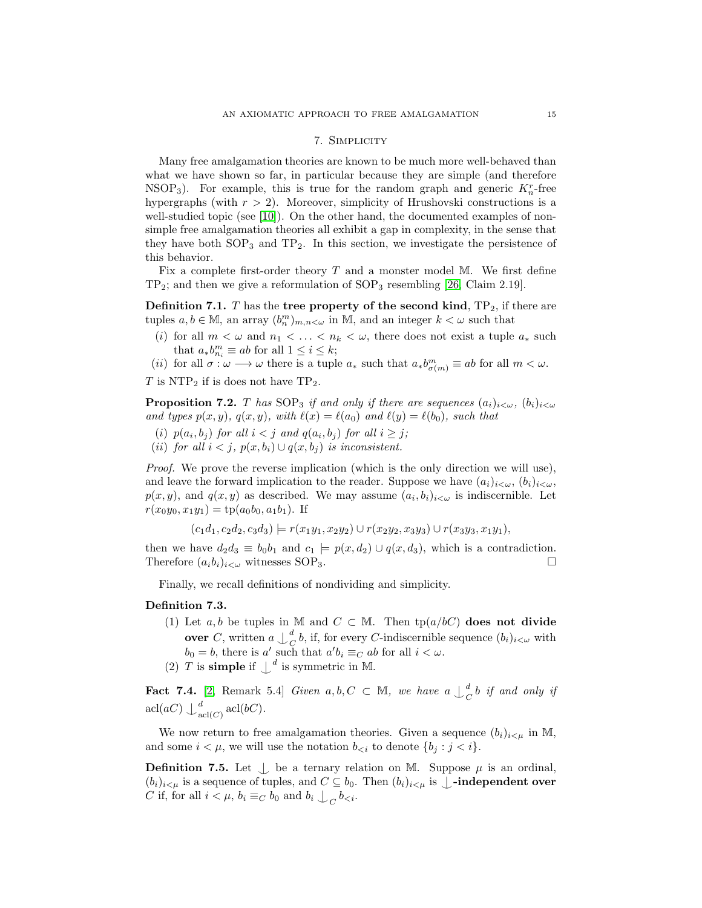## 7. Simplicity

<span id="page-14-0"></span>Many free amalgamation theories are known to be much more well-behaved than what we have shown so far, in particular because they are simple (and therefore NSOP<sub>3</sub>). For example, this is true for the random graph and generic  $K_n^r$ -free hypergraphs (with  $r > 2$ ). Moreover, simplicity of Hrushovski constructions is a well-studied topic (see  $[10]$ ). On the other hand, the documented examples of nonsimple free amalgamation theories all exhibit a gap in complexity, in the sense that they have both  $SOP_3$  and  $TP_2$ . In this section, we investigate the persistence of this behavior.

Fix a complete first-order theory  $T$  and a monster model M. We first define  $TP_2$ ; and then we give a reformulation of  $SOP_3$  resembling [\[26,](#page-22-13) Claim 2.19].

**Definition 7.1.** T has the tree property of the second kind,  $TP_2$ , if there are tuples  $a, b \in M$ , an array  $(b_n^m)_{m,n<\omega}$  in M, and an integer  $k<\omega$  such that

(i) for all  $m < \omega$  and  $n_1 < \ldots < n_k < \omega$ , there does not exist a tuple  $a_*$  such that  $a_*b_{n_i}^m \equiv ab$  for all  $1 \leq i \leq k$ ;

(*ii*) for all  $\sigma : \omega \longrightarrow \omega$  there is a tuple  $a_*$  such that  $a_*b^m_{\sigma(m)} \equiv ab$  for all  $m < \omega$ .

 $T$  is NTP<sub>2</sub> if is does not have TP<sub>2</sub>.

<span id="page-14-2"></span>**Proposition 7.2.** T has SOP<sub>3</sub> if and only if there are sequences  $(a_i)_{i < \omega}$ ,  $(b_i)_{i < \omega}$ and types  $p(x, y)$ ,  $q(x, y)$ , with  $\ell(x) = \ell(a_0)$  and  $\ell(y) = \ell(b_0)$ , such that

- (i)  $p(a_i, b_j)$  for all  $i < j$  and  $q(a_i, b_j)$  for all  $i \geq j$ ;
- (ii) for all  $i < j$ ,  $p(x, b_i) \cup q(x, b_j)$  is inconsistent.

Proof. We prove the reverse implication (which is the only direction we will use), and leave the forward implication to the reader. Suppose we have  $(a_i)_{i\lt\omega}, (b_i)_{i\lt\omega}$ ,  $p(x, y)$ , and  $q(x, y)$  as described. We may assume  $(a_i, b_i)_{i \leq \omega}$  is indiscernible. Let  $r(x_0y_0, x_1y_1) = \text{tp}(a_0b_0, a_1b_1)$ . If

 $(c_1d_1, c_2d_2, c_3d_3) \models r(x_1y_1, x_2y_2) \cup r(x_2y_2, x_3y_3) \cup r(x_3y_3, x_1y_1),$ 

then we have  $d_2d_3 \equiv b_0b_1$  and  $c_1 \models p(x, d_2) \cup q(x, d_3)$ , which is a contradiction. Therefore  $(a_i b_i)_{i < \omega}$  witnesses SOP<sub>3</sub>.

Finally, we recall definitions of nondividing and simplicity.

# Definition 7.3.

- (1) Let a, b be tuples in M and  $C \subset M$ . Then  $tp(a/bC)$  does not divide **over** C, written  $a \nightharpoonup^d_C$  $_{C}^{a}$  b, if, for every *C*-indiscernible sequence  $(b_i)_{i < \omega}$  with  $b_0 = b$ , there is a' such that  $a'b_i \equiv_C ab$  for all  $i < \omega$ .
- (2) T is **simple** if  $\int^d$  is symmetric in M.

<span id="page-14-1"></span>**Fact 7.4.** [\[2,](#page-21-1) Remark 5.4] Given  $a, b, C \subset \mathbb{M}$ , we have  $a \downarrow_{C}^{d}$  $\frac{a}{C}$ b if and only if  $\operatorname{acl}(aC)\downarrow_{\operatorname{a}}^d$  $_{\operatorname{acl}(C)}^{a}\operatorname{acl}(bC).$ 

We now return to free amalgamation theories. Given a sequence  $(b_i)_{i \leq \mu}$  in M, and some  $i < \mu$ , we will use the notation  $b_{\leq i}$  to denote  $\{b_i : j < i\}$ .

**Definition 7.5.** Let  $\perp$  be a ternary relation on M. Suppose  $\mu$  is an ordinal,  $(b_i)_{i \leq \mu}$  is a sequence of tuples, and  $C \subseteq b_0$ . Then  $(b_i)_{i \leq \mu}$  is  $\bigcup$ **-independent over** C if, for all  $i < \mu$ ,  $b_i \equiv_C b_0$  and  $b_i \bigcup_C b_{\leq i}$ .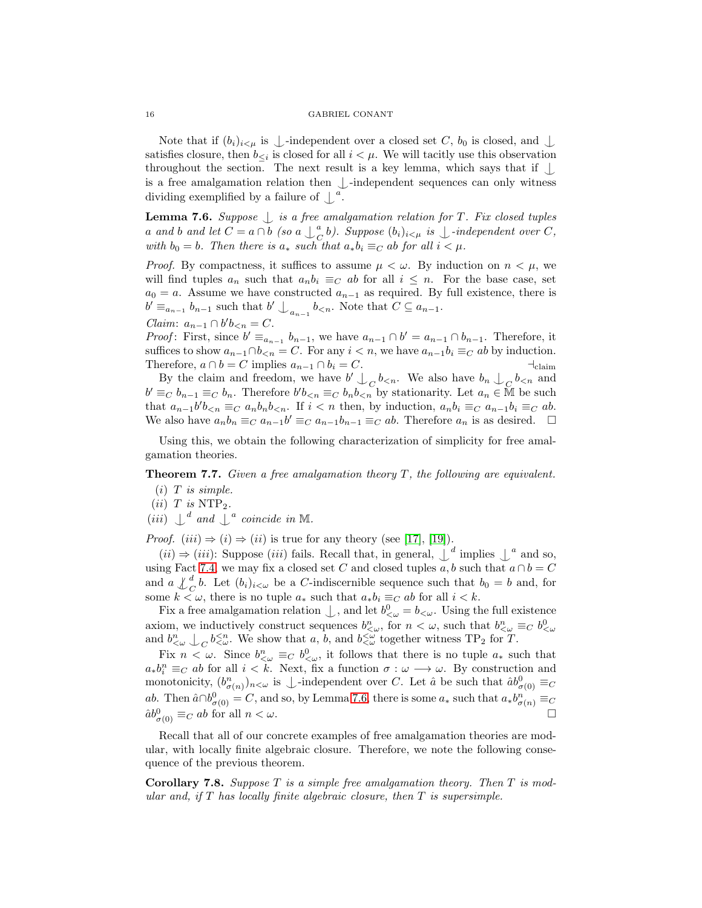Note that if  $(b_i)_{i \leq \mu}$  is  $\bot$ -independent over a closed set C,  $b_0$  is closed, and  $\bot$ satisfies closure, then  $b_{\leq i}$  is closed for all  $i < \mu$ . We will tacitly use this observation throughout the section. The next result is a key lemma, which says that if  $\Box$ is a free amalgamation relation then  $\bigcup$ -independent sequences can only witness dividing exemplified by a failure of  $\int^a$ .

<span id="page-15-1"></span>**Lemma 7.6.** Suppose  $\int$  is a free amalgamation relation for T. Fix closed tuples a and b and let  $C = a \cap b$  (so  $a \bigcup_{C}^{a}$  $\bigcup_{C}^{a}$ b). Suppose  $(b_i)_{i \leq \mu}$  is  $\bigcup$ -independent over C, with  $b_0 = b$ . Then there is  $a_*$  such that  $a_*b_i \equiv_C ab$  for all  $i < \mu$ .

*Proof.* By compactness, it suffices to assume  $\mu < \omega$ . By induction on  $n < \mu$ , we will find tuples  $a_n$  such that  $a_n b_i \equiv_C ab$  for all  $i \leq n$ . For the base case, set  $a_0 = a$ . Assume we have constructed  $a_{n-1}$  as required. By full existence, there is  $b' \equiv_{a_{n-1}} b_{n-1}$  such that  $b' \bigcup_{a_{n-1}} b_{\lt n}$ . Note that  $C \subseteq a_{n-1}$ .

Claim:  $a_{n-1} \cap b' b_{\leq n} = C$ .

*Proof*: First, since  $b' \equiv_{a_{n-1}} b_{n-1}$ , we have  $a_{n-1} \cap b' = a_{n-1} \cap b_{n-1}$ . Therefore, it suffices to show  $a_{n-1} \cap b_{\leq n} = C$ . For any  $i \leq n$ , we have  $a_{n-1}b_i \equiv_C ab$  by induction. Therefore,  $a \cap b = C$  implies  $a_{n-1} \cap b_i = C$ .

By the claim and freedom, we have  $b' \nightharpoonup_C b_{\leq n}$ . We also have  $b_n \nightharpoonup_C b_{\leq n}$  and  $b' \equiv_C b_{n-1} \equiv_C b_n$ . Therefore  $b'b_{\leq n} \equiv_C b_n b_{\leq n}$  by stationarity. Let  $a_n \in \mathbb{M}$  be such that  $a_{n-1}b'b_{\leq n} \equiv_C a_n b_n b_{\leq n}$ . If  $i < n$  then, by induction,  $a_n b_i \equiv_C a_{n-1} b_i \equiv_C a b$ . We also have  $a_n b_n \equiv_C a_{n-1} b' \equiv_C a_{n-1} b_{n-1} \equiv_C ab$ . Therefore  $a_n$  is as desired.  $\Box$ 

Using this, we obtain the following characterization of simplicity for free amalgamation theories.

<span id="page-15-0"></span>**Theorem 7.7.** Given a free amalgamation theory  $T$ , the following are equivalent.

- $(i)$  T is simple.
- $(ii)$  T is NTP<sub>2</sub>.

(*iii*)  $\int_a^d$  and  $\int_a^d$  coincide in M.

*Proof.*  $(iii) \Rightarrow (i) \Rightarrow (ii)$  is true for any theory (see [\[17\]](#page-22-18), [\[19\]](#page-22-14)).

(*ii*) ⇒ (*iii*): Suppose (*iii*) fails. Recall that, in general,  $\perp^d$  implies  $\perp^a$  and so, using Fact [7.4,](#page-14-1) we may fix a closed set C and closed tuples a, b such that  $a \cap b = C$ and  $a \n\perp^d_C b$ . Let  $(b_i)_{i \leq \omega}$  be a C-indiscernible sequence such that  $b_0 = b$  and, for some  $k \leq \omega$ , there is no tuple  $a_*$  such that  $a_*b_i \equiv_C ab$  for all  $i < k$ .

Fix a free amalgamation relation  $\bigcup$ , and let  $b^0_{\leq \omega} = b_{\leq \omega}$ . Using the full existence axiom, we inductively construct sequences  $b_{\leq\omega}^n$ , for  $n<\omega$ , such that  $b_{\leq\omega}^n\equiv_C b_{\leq\omega}^0$ and  $b_{\leq \omega}^n \perp_C b_{\leq \omega}^{n}$ . We show that a, b, and  $b_{\leq \omega}^{n}$  together witness TP<sub>2</sub> for T.

Fix  $n < \omega$ . Since  $b_{\langle \omega \rangle}^n \equiv_C b_{\langle \omega \rangle}^0$ , it follows that there is no tuple  $a_*$  such that  $a_*b_i^n \equiv_C ab$  for all  $i < k$ . Next, fix a function  $\sigma : \omega \longrightarrow \omega$ . By construction and monotonicity,  $(b_{\sigma(n)}^n)_{n<\omega}$  is  $\perp$ -independent over C. Let  $\hat{a}$  be such that  $\hat{a}b_{\sigma(0)}^0 \equiv_C$ ab. Then  $\hat{a} \cap b^0_{\sigma(0)} = C$ , and so, by Lemma [7.6,](#page-15-1) there is some  $a_*$  such that  $a_*b^n_{\sigma(n)} \equiv_C a$  $\hat{a}b_{\sigma(0)}^0 \equiv_C ab$  for all  $n < \omega$ .

Recall that all of our concrete examples of free amalgamation theories are modular, with locally finite algebraic closure. Therefore, we note the following consequence of the previous theorem.

**Corollary 7.8.** Suppose  $T$  is a simple free amalgamation theory. Then  $T$  is modular and, if  $T$  has locally finite algebraic closure, then  $T$  is supersimple.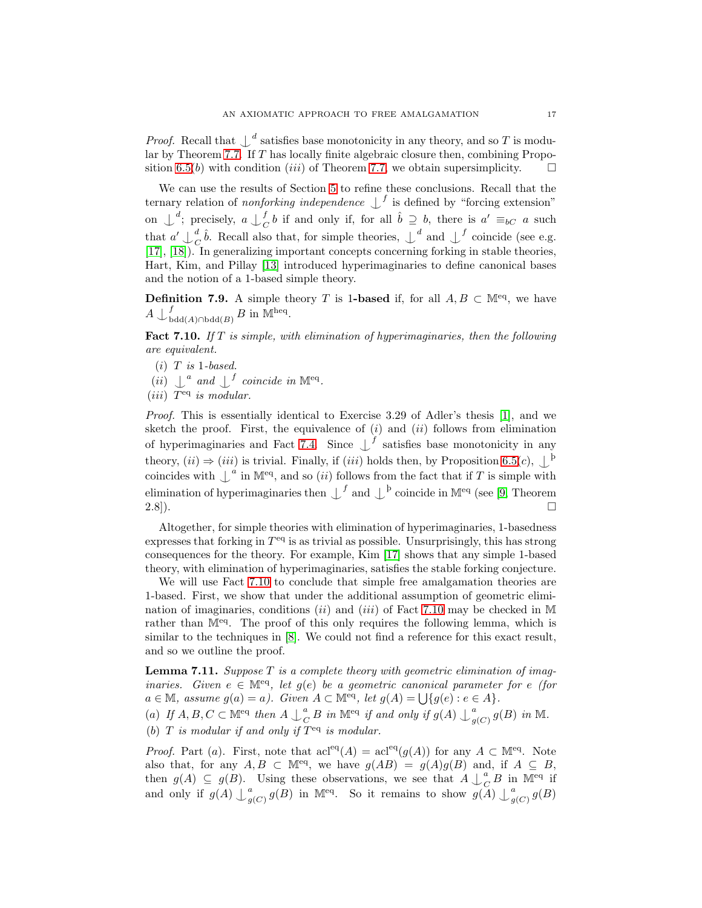*Proof.* Recall that  $\int_a^b$  satisfies base monotonicity in any theory, and so T is modular by Theorem [7.7.](#page-15-0) If T has locally finite algebraic closure then, combining Propo-sition [6.5\(](#page-12-0)b) with condition (iii) of Theorem [7.7,](#page-15-0) we obtain supersimplicity.  $\square$ 

We can use the results of Section [5](#page-7-1) to refine these conclusions. Recall that the ternary relation of *nonforking independence*  $\int_{0}^{f}$  is defined by "forcing extension" on  $\bigcup_{c}^{d}$ ; precisely,  $a \bigcup_{c}^{f}$  $\bigcirc_C^f b$  if and only if, for all  $\hat{b} \supseteq b$ , there is  $a' \equiv_{bC} a$  such that  $a' \nightharpoonup^d_c$  $\int_C^d \hat{b}$ . Recall also that, for simple theories,  $\int_d^d$  and  $\int_d^f$  coincide (see e.g. [\[17\]](#page-22-18), [\[18\]](#page-22-16)). In generalizing important concepts concerning forking in stable theories, Hart, Kim, and Pillay [\[13\]](#page-22-19) introduced hyperimaginaries to define canonical bases and the notion of a 1-based simple theory.

**Definition 7.9.** A simple theory T is 1-based if, for all  $A, B \subset \mathbb{M}^{eq}$ , we have  $A\downarrow_{\text{b}}^f$  $^f_{{\rm bdd}(A)\cap{\rm bdd}(B)}$  B in M<sup>heq</sup>.

<span id="page-16-1"></span>Fact 7.10. If  $T$  is simple, with elimination of hyperimaginaries, then the following are equivalent.

- $(i)$  T is 1-based.
- (*ii*)  $\int_a^a$  and  $\int_a^f$  coincide in M<sup>eq</sup>.

(*iii*)  $T^{eq}$  is modular.

Proof. This is essentially identical to Exercise 3.29 of Adler's thesis [\[1\]](#page-21-8), and we sketch the proof. First, the equivalence of  $(i)$  and  $(ii)$  follows from elimination of hyperimaginaries and Fact [7.4.](#page-14-1) Since  $\bigcup^{f}$  satisfies base monotonicity in any theory,  $(ii) \Rightarrow (iii)$  is trivial. Finally, if  $(iii)$  holds then, by Proposition [6.5\(](#page-12-0)c),  $\bigcup_{i=1}^{n}$ coincides with  $\int_a^b$  in M<sup>eq</sup>, and so *(ii)* follows from the fact that if T is simple with elimination of hyperimaginaries then  $\perp^f$  and  $\perp^b$  coincide in M<sup>eq</sup> (see [\[9,](#page-21-6) Theorem  $2.8$ ]).

Altogether, for simple theories with elimination of hyperimaginaries, 1-basedness expresses that forking in  $T<sup>eq</sup>$  is as trivial as possible. Unsurprisingly, this has strong consequences for the theory. For example, Kim [\[17\]](#page-22-18) shows that any simple 1-based theory, with elimination of hyperimaginaries, satisfies the stable forking conjecture.

We will use Fact [7.10](#page-16-1) to conclude that simple free amalgamation theories are 1-based. First, we show that under the additional assumption of geometric elimi-nation of imaginaries, conditions (ii) and (iii) of Fact [7.10](#page-16-1) may be checked in M rather than  $\mathbb{M}^{eq}$ . The proof of this only requires the following lemma, which is similar to the techniques in [\[8\]](#page-21-7). We could not find a reference for this exact result, and so we outline the proof.

<span id="page-16-0"></span>**Lemma 7.11.** Suppose  $T$  is a complete theory with geometric elimination of imaginaries. Given  $e \in M^{eq}$ , let  $g(e)$  be a geometric canonical parameter for e (for  $a \in \mathbb{M}$ , assume  $g(a) = a$ ). Given  $A \subset \mathbb{M}^{eq}$ , let  $g(A) = \bigcup \{g(e) : e \in A\}.$  $_{g(C)}^a$  g(B) in M.

(a) If  $A, B, C \subset \mathbb{M}^{eq}$  then  $A \bigcup_{C}^{a}$  $\frac{a}{C} B$  in  $\mathbb{M}^{eq}$  if and only if  $g(A) \bigcup_{g}^{a}$ (b)  $T$  is modular if and only if  $T^{eq}$  is modular.

*Proof.* Part (a). First, note that  $\mathrm{acl}^{\text{eq}}(A) = \mathrm{acl}^{\text{eq}}(g(A))$  for any  $A \subset \mathbb{M}^{\text{eq}}$ . Note also that, for any  $A, B \subset \mathbb{M}^{eq}$ , we have  $g(AB) = g(A)g(B)$  and, if  $A \subseteq B$ , then  $g(A) \subseteq g(B)$ . Using these observations, we see that  $A \bigcup_{\mathcal{C}}^{\alpha}$  $_{C}^{a}$  B in M<sup>eq</sup> if and only if  $g(A) \bigcup_{g}^{a}$  $g(G)$   $g(B)$  in M<sup>eq</sup>. So it remains to show  $g(A) \bigcup_{g}^{a} g(G)$  $\frac{a}{g(C)}g(B)$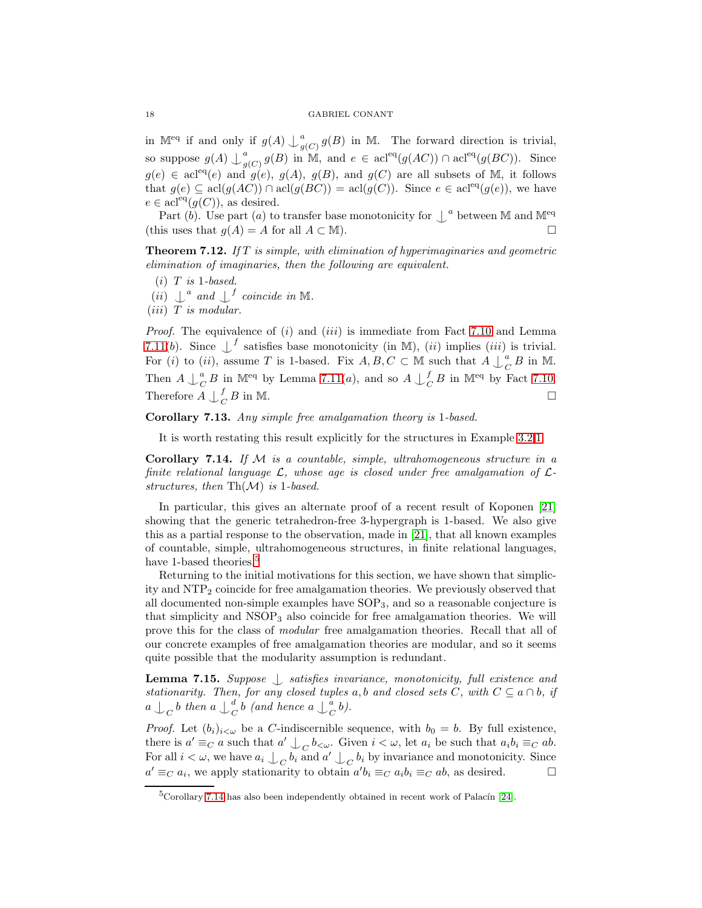in M<sup>eq</sup> if and only if  $g(A) \bigcup_{g}^{a}$  $g_{g(C)}^a g(B)$  in M. The forward direction is trivial, so suppose  $g(A) \bigcup_{g}^{a}$  $_{g(C)}^a$  g(B) in M, and  $e \in \text{acl}^{\text{eq}}(g(AC)) \cap \text{acl}^{\text{eq}}(g(BC)).$  Since  $g(e) \in \text{acl}^{\text{eq}}(e)$  and  $g(e), g(A), g(B), \text{ and } g(C)$  are all subsets of M, it follows that  $g(e) \subseteq \text{acl}(g(AC)) \cap \text{acl}(g(BC)) = \text{acl}(g(C))$ . Since  $e \in \text{acl}^{\text{eq}}(g(e))$ , we have  $e \in \text{acl}^{\text{eq}}(g(C))$ , as desired.

Part (b). Use part (a) to transfer base monotonicity for  $\int_a^b$  between M and M<sup>eq</sup> (this uses that  $q(A) = A$  for all  $A \subset M$ ).

**Theorem 7.12.** If T is simple, with elimination of hyperimaginaries and geometric elimination of imaginaries, then the following are equivalent.

 $(i)$  T is 1-based.

(*ii*)  $\perp^a$  and  $\perp^f$  coincide in M.

 $(iii)$  T is modular.

*Proof.* The equivalence of  $(i)$  and  $(iii)$  is immediate from Fact [7.10](#page-16-1) and Lemma [7.11\(](#page-16-0)b). Since  $\int_0^f$  satisfies base monotonicity (in M), (ii) implies (iii) is trivial. For (i) to (ii), assume T is 1-based. Fix  $A, B, C \subset \mathbb{M}$  such that  $A \downarrow_{C}^{a}$  $^a_C B$  in M. Then  $A \bigcup_{C}^{a}$  ${}_{C}^{a}$  B in M<sup>eq</sup> by Lemma [7.11\(](#page-16-0)*a*), and so  $A \bigcup_{C}^{f}$  $\underset{C}{\overset{f}{\sim}} B$  in M<sup>eq</sup> by Fact [7.10.](#page-16-1) Therefore  $A \nightharpoonup_C^f$  $\overline{C}$  B in M.

<span id="page-17-0"></span>Corollary 7.13. Any simple free amalgamation theory is 1-based.

It is worth restating this result explicitly for the structures in Example [3.2.](#page-4-0)[1.](#page-4-1)

<span id="page-17-2"></span>Corollary 7.14. If  $M$  is a countable, simple, ultrahomogeneous structure in a finite relational language  $\mathcal{L}$ , whose age is closed under free amalgamation of  $\mathcal{L}$ structures, then  $\text{Th}(\mathcal{M})$  is 1-based.

In particular, this gives an alternate proof of a recent result of Koponen [\[21\]](#page-22-5) showing that the generic tetrahedron-free 3-hypergraph is 1-based. We also give this as a partial response to the observation, made in [\[21\]](#page-22-5), that all known examples of countable, simple, ultrahomogeneous structures, in finite relational languages, have 1-based theories.<sup>[5](#page-17-1)</sup>

Returning to the initial motivations for this section, we have shown that simplicity and NTP<sup>2</sup> coincide for free amalgamation theories. We previously observed that all documented non-simple examples have SOP3, and so a reasonable conjecture is that simplicity and  $NSOP<sub>3</sub>$  also coincide for free amalgamation theories. We will prove this for the class of modular free amalgamation theories. Recall that all of our concrete examples of free amalgamation theories are modular, and so it seems quite possible that the modularity assumption is redundant.

<span id="page-17-3"></span>Lemma 7.15. Suppose  $\bigcup$  satisfies invariance, monotonicity, full existence and stationarity. Then, for any closed tuples a, b and closed sets C, with  $C \subseteq a \cap b$ , if  $a\bigcup_C b$  then  $a\bigcup_C^d$  $\frac{d}{C}$ b (and hence a  $\mathop{\cup}\limits^a_C$  $\frac{a}{C}b$ ).

*Proof.* Let  $(b_i)_{i \leq \omega}$  be a C-indiscernible sequence, with  $b_0 = b$ . By full existence, there is  $a' \equiv_C a$  such that  $a' \bigcup_C b_{< \omega}$ . Given  $i < \omega$ , let  $a_i$  be such that  $a_i b_i \equiv_C ab$ . For all  $i < \omega$ , we have  $a_i \nightharpoonup_C b_i$  and  $a' \nightharpoonup_C b_i$  by invariance and monotonicity. Since  $a' \equiv_C a_i$ , we apply stationarity to obtain  $a'b_i \equiv_C a_i b_i \equiv_C ab$ , as desired.

<span id="page-17-1"></span> $5$ Corollary [7.14](#page-17-2) has also been independently obtained in recent work of Palacín [\[24\]](#page-22-20).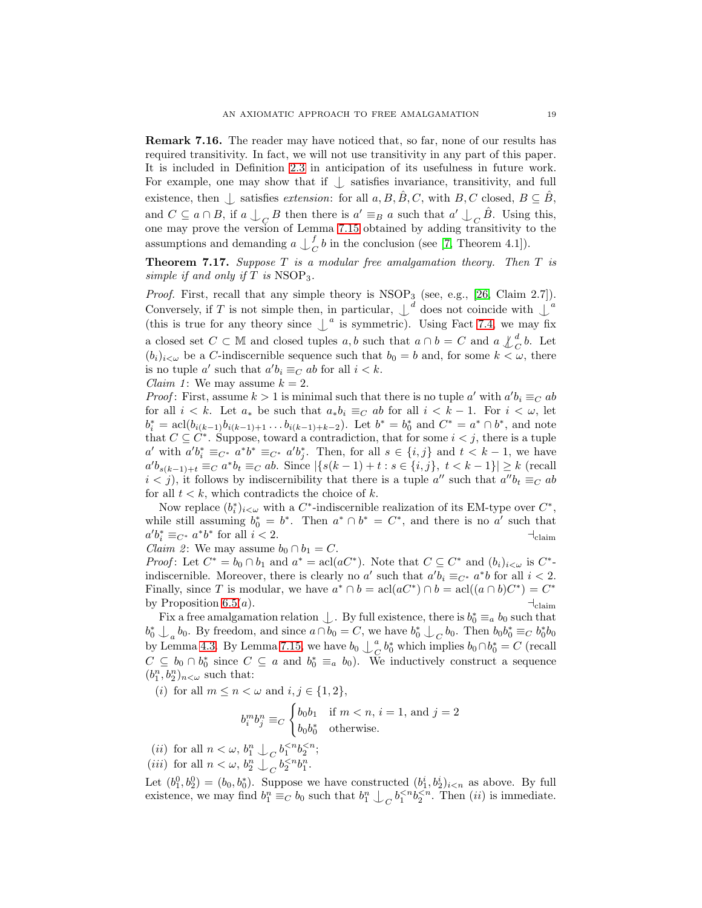Remark 7.16. The reader may have noticed that, so far, none of our results has required transitivity. In fact, we will not use transitivity in any part of this paper. It is included in Definition [2.3](#page-3-0) in anticipation of its usefulness in future work. For example, one may show that if  $\perp$  satisfies invariance, transitivity, and full existence, then  $\bigcup$  satisfies extension: for all  $a, B, \hat{B}, C$ , with  $B, C$  closed,  $B \subseteq \hat{B}$ , and  $C \subseteq a \cap B$ , if  $a \bigcup_C B$  then there is  $a' \equiv_B a$  such that  $a' \bigcup_C \hat{B}$ . Using this, one may prove the version of Lemma [7.15](#page-17-3) obtained by adding transitivity to the assumptions and demanding  $a \nightharpoonup_{c}^{f}$  $_{C}^{J}b$  in the conclusion (see [\[7,](#page-21-3) Theorem 4.1]).

<span id="page-18-0"></span>**Theorem 7.17.** Suppose  $T$  is a modular free amalgamation theory. Then  $T$  is simple if and only if  $T$  is  $NSOP<sub>3</sub>$ .

*Proof.* First, recall that any simple theory is  $NSOP_3$  (see, e.g., [\[26,](#page-22-13) Claim 2.7]). Conversely, if T is not simple then, in particular,  $\downarrow^d$  does not coincide with  $\downarrow^a$ (this is true for any theory since  $\perp^a$  is symmetric). Using Fact [7.4,](#page-14-1) we may fix a closed set  $C \subset \mathbb{M}$  and closed tuples a, b such that  $a \cap b = C$  and  $a \nleq^d_C b$ . Let  $(b_i)_{i\leq \omega}$  be a C-indiscernible sequence such that  $b_0 = b$  and, for some  $k \leq \omega$ , there is no tuple a' such that  $a'b_i \equiv_C ab$  for all  $i < k$ .

Claim 1: We may assume  $k = 2$ .

*Proof*: First, assume  $k > 1$  is minimal such that there is no tuple a' with  $a'b_i \equiv_C ab$ for all  $i < k$ . Let  $a_*$  be such that  $a_* b_i \equiv_C ab$  for all  $i < k - 1$ . For  $i < \omega$ , let  $b_i^* = \operatorname{acl}(b_{i(k-1)}b_{i(k-1)+1} \ldots b_{i(k-1)+k-2})$ . Let  $b^* = b_0^*$  and  $C^* = a^* \cap b^*$ , and note that  $C \subseteq C^*$ . Suppose, toward a contradiction, that for some  $i < j$ , there is a tuple a' with  $a'b_i^* \equiv_{C^*} a^*b^* \equiv_{C^*} a'b_j^*$ . Then, for all  $s \in \{i, j\}$  and  $t < k - 1$ , we have  $a'b_{s(k-1)+t} \equiv_C a^*b_t \equiv_C ab$ . Since  $|\{s(k-1)+t : s \in \{i,j\}, t < k-1\}| \ge k$  (recall  $i < j$ ), it follows by indiscernibility that there is a tuple  $a''$  such that  $a''b_t \equiv_C ab$ for all  $t < k$ , which contradicts the choice of k.

Now replace  $(b_i^*)_{i\lt\omega}$  with a  $C^*$ -indiscernible realization of its EM-type over  $C^*$ , while still assuming  $b_0^* = b^*$ . Then  $a^* \cap b^* = C^*$ , and there is no  $a'$  such that  $a'b_i^* \equiv_{C^*} a^*b^*$  for all  $i < 2$ .

*Claim 2*: We may assume  $b_0 \cap b_1 = C$ .

*Proof*: Let  $C^* = b_0 \cap b_1$  and  $a^* = \operatorname{acl}(aC^*)$ . Note that  $C \subseteq C^*$  and  $(b_i)_{i < \omega}$  is  $C^*$ indiscernible. Moreover, there is clearly no a' such that  $a'b_i \equiv_{C^*} a^*b$  for all  $i < 2$ . Finally, since T is modular, we have  $a^* \cap b = \operatorname{acl}(aC^*) \cap b = \operatorname{acl}((a \cap b)C^*) = C^*$ by Proposition [6.5\(](#page-12-0)*a*).  $\qquad \qquad \text{+}_{\text{claim}}$ 

Fix a free amalgamation relation  $\perp$ . By full existence, there is  $b_0^* \equiv_a b_0$  such that  $b_0^* \perp_a b_0$ . By freedom, and since  $a \cap b_0 = C$ , we have  $b_0^* \perp_C b_0$ . Then  $b_0 b_0^* \equiv_C b_0^* b_0$ by Lemma [4.3.](#page-6-3) By Lemma [7.15,](#page-17-3) we have  $b_0 \downarrow_c^a$  $^a_C b_0^*$  which implies  $b_0 \cap b_0^* = C$  (recall  $C \subseteq b_0 \cap b_0^*$  since  $C \subseteq a$  and  $b_0^* \equiv_a b_0$ . We inductively construct a sequence  $(b_{1}^{n},b_{2}^{n})_{n<\omega}$  such that:

(*i*) for all  $m \leq n < \omega$  and  $i, j \in \{1, 2\},\$ 

$$
b_i^m b_j^n \equiv_C \begin{cases} b_0 b_1 & \text{if } m < n, i = 1, \text{ and } j = 2\\ b_0 b_0^* & \text{otherwise.} \end{cases}
$$

(*ii*) for all  $n < \omega$ ,  $b_1^n \downarrow_C b_1^{;$ 

(*iii*) for all  $n < \omega$ ,  $b_2^n \downarrow_c b_2^{< n} b_1^n$ .

Let  $(b_1^0, b_2^0) = (b_0, b_0^*)$ . Suppose we have constructed  $(b_1^i, b_2^i)_{i \le n}$  as above. By full existence, we may find  $b_1^n \equiv_C b_0$  such that  $b_1^n \downarrow_C b_1^{. Then (ii) is immediate.$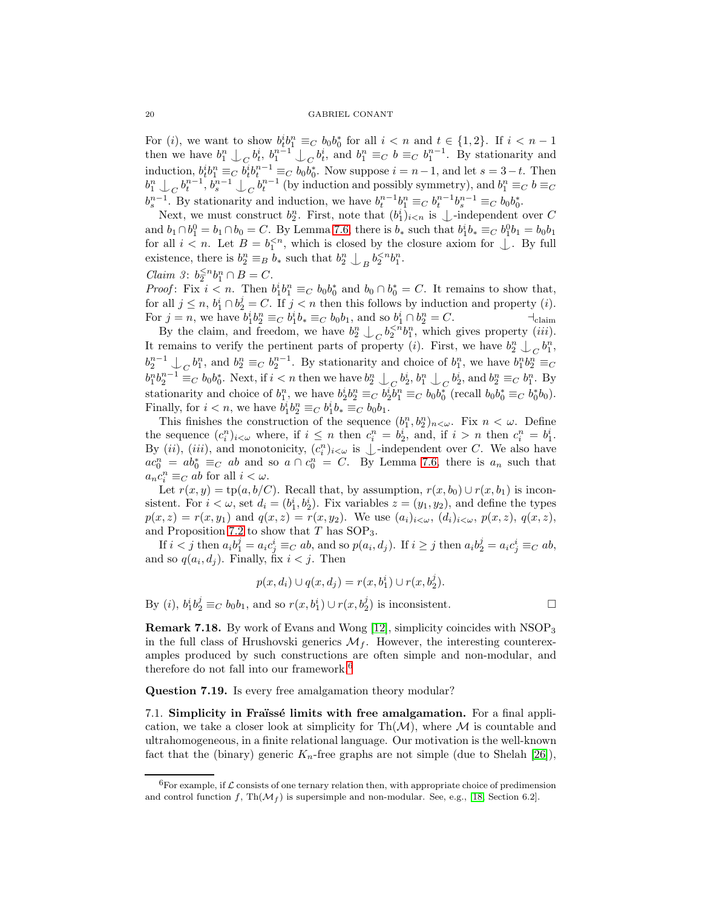For (*i*), we want to show  $b_t^i b_1^n \equiv_C b_0 b_0^*$  for all  $i < n$  and  $t \in \{1,2\}$ . If  $i < n-1$ Then we have  $b_1^n \downarrow_C b_t^i$ ,  $b_1^{n-1} \downarrow_C b_t^i$ , and  $b_1^n \equiv_C b \equiv_C b_1^{n-1}$ . By stationarity and then we have  $b_1^n \downarrow_C b_t^i$ ,  $b_1^{n-1} \downarrow_C b_t^i$ , and  $b_1^n \equiv_C b \equiv_C b_1^{n-1}$ . induction,  $b_t^i b_1^n \equiv_C b_t^i b_t^{n-1} \equiv_C b_0 b_0^*$ . Now suppose  $i = n-1$ , and let  $s = 3-t$ . Then  $b_1^n \perp_C b_t^{n-1}, b_s^{n-1} \perp_C b_t^{n-1}$  (by induction and possibly symmetry), and  $b_1^n \equiv_C b \equiv_C b_t^{n-1}$  $b_s^{n-1}$ . By stationarity and induction, we have  $b_t^{n-1}b_1^n \equiv_C b_t^{n-1}b_s^{n-1} \equiv_C b_0b_0^*$ .

Next, we must construct  $b_2^n$ . First, note that  $(b_1^i)_{i \lt n}$  is  $\bigcup$ -independent over C and  $b_1 \cap b_1^0 = b_1 \cap b_0 = C$ . By Lemma [7.6,](#page-15-1) there is  $b_*$  such that  $b_1^i b_* \equiv_C b_1^0 b_1 = b_0 b_1$ for all  $i < n$ . Let  $B = b_1^{< n}$ , which is closed by the closure axiom for  $\perp$ . By full existence, there is  $b_2^n \equiv_B b_*$  such that  $b_2^n \perp_B b_2^{.$ 

$$
Claim \ \ 3: \ b_2^{\leq n} b_1^n \cap B = C.
$$

*Proof*: Fix  $i < n$ . Then  $b_1^i b_1^n \equiv_C b_0 b_0^*$  and  $b_0 \cap b_0^* = C$ . It remains to show that, for all  $j \leq n$ ,  $b_1^i \cap b_2^j = C$ . If  $j < n$  then this follows by induction and property (*i*). For  $j = n$ , we have  $b_1^i b_2^n \equiv_C b_1^i b_* \equiv_C b_0 b_1$ , and so  $b_1^i \cap b_2^n = C$ .

By the claim, and freedom, we have  $b_2^n \nightharpoonup_C b_2^{, which gives property *(iii)*.$ It remains to verify the pertinent parts of property (*i*). First, we have  $b_2^n \nightharpoonup_C b_1^n$ ,  $b_2^{n-1} \downarrow_C b_1^n$ , and  $b_2^n \equiv_C b_2^{n-1}$ . By stationarity and choice of  $b_1^n$ , we have  $b_1^n b_2^n \equiv_C b_2^n b_1^n$  $b_1^n b_2^{n-1} \equiv_C b_0 b_0^*$ . Next, if  $i < n$  then we have  $b_2^n \perp_C b_2^i$ ,  $b_1^n \perp_C b_2^i$ , and  $b_2^n \equiv_C b_1^n$ . By stationarity and choice of  $b_1^n$ , we have  $b_2^i b_2^n \equiv_C b_2^i b_1^n \equiv_C b_0 b_0^*$  (recall  $b_0 b_0^* \equiv_C b_0^* b_0$ ). Finally, for  $i < n$ , we have  $b_1^i b_2^n \equiv_C b_1^i b_* \equiv_C b_0 b_1$ .

This finishes the construction of the sequence  $(b_1^n, b_2^n)_{n \lt \omega}$ . Fix  $n \lt \omega$ . Define the sequence  $(c_i^n)_{i \leq \omega}$  where, if  $i \leq n$  then  $c_i^n = b_2^i$ , and, if  $i > n$  then  $c_i^n = b_1^i$ . By  $(ii)$ ,  $(iii)$ , and monotonicity,  $(c_i^n)_{i \leq \omega}$  is  $\perp$ -independent over C. We also have  $ac_0^n = ab_0^* \equiv_C ab$  and so  $a \cap c_0^n = C$ . By Lemma [7.6,](#page-15-1) there is  $a_n$  such that  $a_n c_i^n \equiv_C ab$  for all  $i < \omega$ .

Let  $r(x, y) = \text{tp}(a, b/C)$ . Recall that, by assumption,  $r(x, b_0) \cup r(x, b_1)$  is inconsistent. For  $i < \omega$ , set  $d_i = (b_1^i, b_2^i)$ . Fix variables  $z = (y_1, y_2)$ , and define the types  $p(x, z) = r(x, y_1)$  and  $q(x, z) = r(x, y_2)$ . We use  $(a_i)_{i < \omega}, (d_i)_{i < \omega}, p(x, z), q(x, z)$ , and Proposition [7.2](#page-14-2) to show that  $T$  has  $SOP_3$ .

If  $i < j$  then  $a_i b_1^j = a_i c_j^i \equiv_C ab$ , and so  $p(a_i, d_j)$ . If  $i \geq j$  then  $a_i b_2^j = a_i c_j^i \equiv_C ab$ , and so  $q(a_i, d_j)$ . Finally, fix  $i < j$ . Then

$$
p(x, d_i) \cup q(x, d_j) = r(x, b_1^i) \cup r(x, b_2^j).
$$

By (*i*),  $b_1^i b_2^j \equiv_C b_0 b_1$ , and so  $r(x, b_1^i) \cup r(x, b_2^j)$  is inconsistent.

Remark 7.18. By work of Evans and Wong [\[12\]](#page-22-2), simplicity coincides with NSOP<sup>3</sup> in the full class of Hrushovski generics  $\mathcal{M}_f$ . However, the interesting counterexamples produced by such constructions are often simple and non-modular, and therefore do not fall into our framework.[6](#page-19-0)

Question 7.19. Is every free amalgamation theory modular?

7.1. Simplicity in Fraïssé limits with free amalgamation. For a final application, we take a closer look at simplicity for  $\text{Th}(\mathcal{M})$ , where  $\mathcal M$  is countable and ultrahomogeneous, in a finite relational language. Our motivation is the well-known fact that the (binary) generic  $K_n$ -free graphs are not simple (due to Shelah [\[26\]](#page-22-13)),

<span id="page-19-0"></span><sup>&</sup>lt;sup>6</sup>For example, if  $\mathcal L$  consists of one ternary relation then, with appropriate choice of predimension and control function f,  $\text{Th}(\mathcal{M}_f)$  is supersimple and non-modular. See, e.g., [\[18,](#page-22-16) Section 6.2].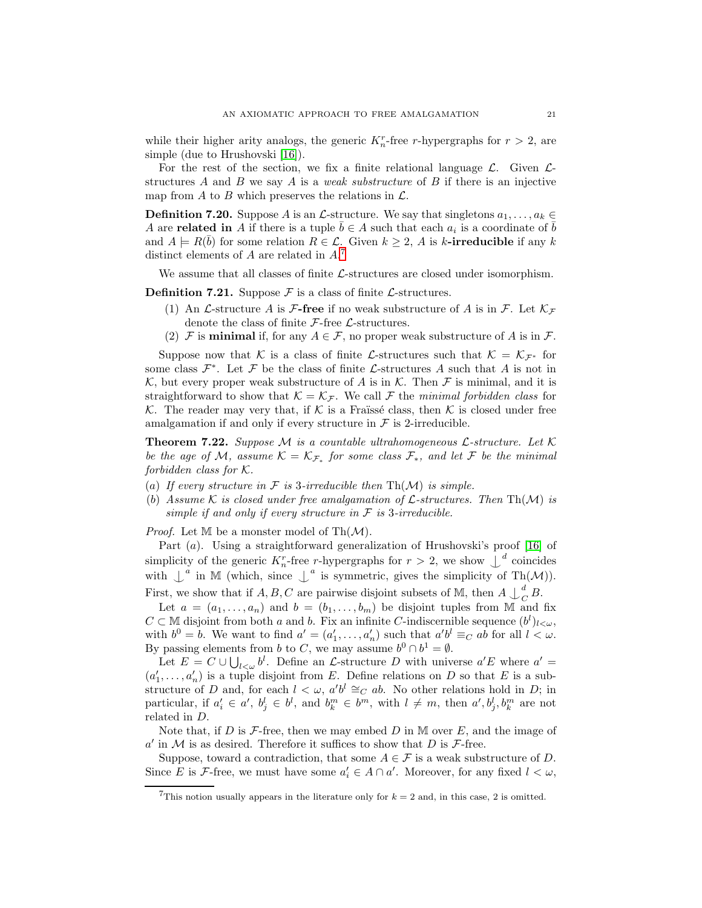while their higher arity analogs, the generic  $K_n^r$ -free r-hypergraphs for  $r > 2$ , are simple (due to Hrushovski [\[16\]](#page-22-7)).

For the rest of the section, we fix a finite relational language  $\mathcal{L}$ . Given  $\mathcal{L}$ structures  $A$  and  $B$  we say  $A$  is a *weak substructure* of  $B$  if there is an injective map from A to B which preserves the relations in  $\mathcal{L}$ .

**Definition 7.20.** Suppose A is an  $\mathcal{L}$ -structure. We say that singletons  $a_1, \ldots, a_k \in \mathcal{L}$ A are **related in** A if there is a tuple  $\bar{b} \in A$  such that each  $a_i$  is a coordinate of  $\bar{b}$ and  $A \models R(\bar{b})$  for some relation  $R \in \mathcal{L}$ . Given  $k \geq 2$ , A is k-irreducible if any k distinct elements of  $A$  are related in  $A$ .<sup>[7](#page-20-1)</sup>

We assume that all classes of finite  $\mathcal{L}$ -structures are closed under isomorphism.

**Definition 7.21.** Suppose  $\mathcal F$  is a class of finite  $\mathcal L$ -structures.

- (1) An *L*-structure *A* is *F*-free if no weak substructure of *A* is in *F*. Let  $\mathcal{K}_{\mathcal{F}}$ denote the class of finite  $\mathcal{F}\text{-free }\mathcal{L}\text{-structures.}$
- (2) F is **minimal** if, for any  $A \in \mathcal{F}$ , no proper weak substructure of A is in F.

Suppose now that K is a class of finite L-structures such that  $\mathcal{K} = \mathcal{K}_{\mathcal{F}^*}$  for some class  $\mathcal{F}^*$ . Let  $\mathcal F$  be the class of finite  $\mathcal L$ -structures A such that A is not in K, but every proper weak substructure of A is in K. Then F is minimal, and it is straightforward to show that  $\mathcal{K} = \mathcal{K}_{\mathcal{F}}$ . We call  $\mathcal F$  the minimal forbidden class for K. The reader may very that, if K is a Fraïssé class, then K is closed under free amalgamation if and only if every structure in  $\mathcal F$  is 2-irreducible.

<span id="page-20-0"></span>**Theorem 7.22.** Suppose M is a countable ultrahomogeneous  $\mathcal{L}$ -structure. Let  $\mathcal{K}$ be the age of M, assume  $\mathcal{K} = \mathcal{K}_{\mathcal{F}_*}$  for some class  $\mathcal{F}_*$ , and let F be the minimal forbidden class for  $K$ .

- (a) If every structure in  $\mathcal F$  is 3-irreducible then Th(M) is simple.
- (b) Assume K is closed under free amalgamation of  $\mathcal{L}$ -structures. Then Th $(\mathcal{M})$  is simple if and only if every structure in  $\mathcal F$  is 3-irreducible.

*Proof.* Let  $M$  be a monster model of  $Th(M)$ .

Part (a). Using a straightforward generalization of Hrushovski's proof [\[16\]](#page-22-7) of simplicity of the generic  $K_n^r$ -free r-hypergraphs for  $r > 2$ , we show  $\bigcup_{n=1}^d$  coincides with  $\mathcal{L}^a$  in M (which, since  $\mathcal{L}^a$  is symmetric, gives the simplicity of Th $(\mathcal{M})$ ). First, we show that if  $A, B, C$  are pairwise disjoint subsets of M, then  $A \bigcup_{C}^{d}$  $\frac{a}{C}B$ .

Let  $a = (a_1, \ldots, a_n)$  and  $b = (b_1, \ldots, b_m)$  be disjoint tuples from M and fix  $C \subset \mathbb{M}$  disjoint from both a and b. Fix an infinite C-indiscernible sequence  $(b^l)_{l\lt\omega}$ , with  $b^0 = b$ . We want to find  $a' = (a'_1, \ldots, a'_n)$  such that  $a'b^l \equiv_C ab$  for all  $l < \omega$ . By passing elements from b to C, we may assume  $b^0 \cap b^1 = \emptyset$ .

Let  $E = C \cup \bigcup_{l \leq w} b^l$ . Define an *L*-structure *D* with universe  $a'E$  where  $a' =$  $(a'_1, \ldots, a'_n)$  is a tuple disjoint from E. Define relations on D so that E is a substructure of D and, for each  $l < \omega$ ,  $a'b^l \cong_C ab$ . No other relations hold in D; in particular, if  $a'_i \in a'$ ,  $b^l_j \in b^l$ , and  $b^m_k \in b^m$ , with  $l \neq m$ , then  $a', b^l_j, b^m_k$  are not related in D.

Note that, if  $D$  is  $\mathcal{F}\text{-free}$ , then we may embed  $D$  in M over  $E$ , and the image of  $a'$  in M is as desired. Therefore it suffices to show that D is  $\mathcal{F}\text{-free}$ .

Suppose, toward a contradiction, that some  $A \in \mathcal{F}$  is a weak substructure of D. Since E is F-free, we must have some  $a'_i \in A \cap a'$ . Moreover, for any fixed  $l < \omega$ ,

<span id="page-20-1"></span><sup>&</sup>lt;sup>7</sup>This notion usually appears in the literature only for  $k = 2$  and, in this case, 2 is omitted.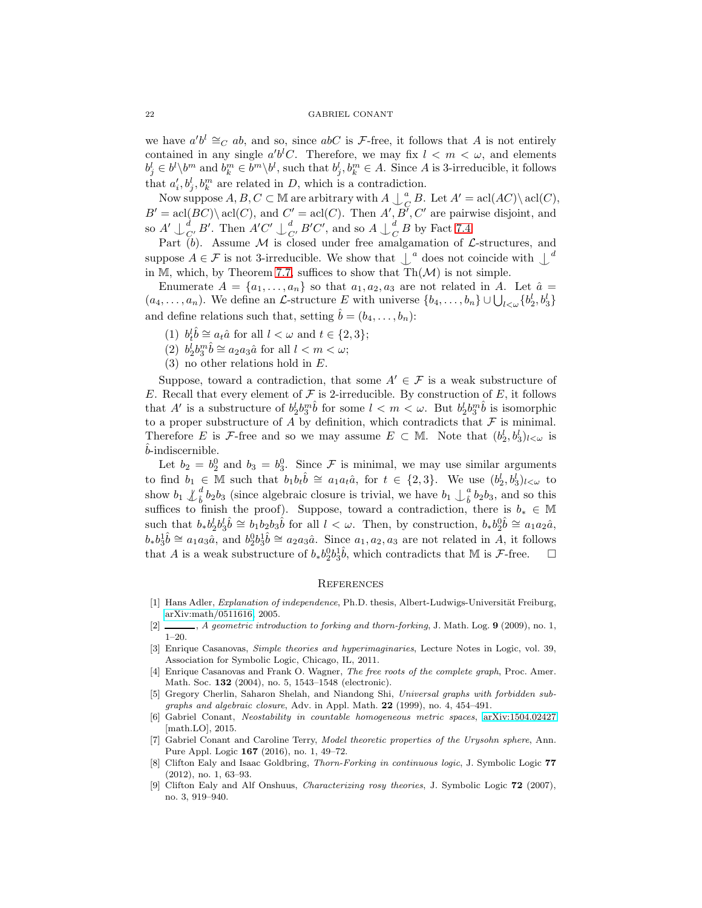we have  $a'b^l \cong_C ab$ , and so, since  $abC$  is F-free, it follows that A is not entirely contained in any single  $a'b^lC$ . Therefore, we may fix  $l < m < \omega$ , and elements  $b_j^l \in b^l \setminus b^m$  and  $b_k^m \in b^m \setminus b^l$ , such that  $b_j^l, b_k^m \in A$ . Since A is 3-irreducible, it follows that  $a'_i, b^l_i, b^m_k$  are related in D, which is a contradiction.

 $i\omega_i, \omega_j, \omega_k$  are related in D, which is a contradict<br>Now suppose  $A, B, C \subset \mathbb{M}$  are arbitrary with  $A \bigcup_{i=1}^n A_i$  $_{C}^{a} B$ . Let  $A' = \operatorname{acl}(AC) \setminus \operatorname{acl}(C)$ ,  $B' = \text{acl}(BC) \setminus \text{acl}(C)$ , and  $C' = \text{acl}(C)$ . Then  $A', B', C'$  are pairwise disjoint, and so  $A' \cup_{C'}^d B'$ . Then  $A'C' \cup_{C'}^d B'C'$ , and so  $A \cup_{C}^d$  $_{C}^{a}$  B by Fact [7.4.](#page-14-1)

Part (b). Assume  $\mathcal M$  is closed under free amalgamation of  $\mathcal L$ -structures, and suppose  $A \in \mathcal{F}$  is not 3-irreducible. We show that  $\perp^a$  does not coincide with  $\perp^d$ in M, which, by Theorem [7.7,](#page-15-0) suffices to show that  $\text{Th}(\mathcal{M})$  is not simple.

Enumerate  $A = \{a_1, \ldots, a_n\}$  so that  $a_1, a_2, a_3$  are not related in A. Let  $\hat{a} =$  $(a_4, \ldots, a_n)$ . We define an *L*-structure E with universe  $\{b_4, \ldots, b_n\} \cup \bigcup_{l < \omega} \{b_2^l, b_3^l\}$ and define relations such that, setting  $\hat{b} = (b_4, \ldots, b_n)$ :

(1)  $b_t^l \hat{b} \cong a_t \hat{a}$  for all  $l < \omega$  and  $t \in \{2, 3\};$ 

(2)  $b_2^l b_3^m \hat{b} \cong a_2 a_3 \hat{a}$  for all  $l < m < \omega$ ;

(3) no other relations hold in E.

Suppose, toward a contradiction, that some  $A' \in \mathcal{F}$  is a weak substructure of E. Recall that every element of  $\mathcal F$  is 2-irreducible. By construction of E, it follows that A' is a substructure of  $b_2^l b_3^m \hat{b}$  for some  $l < m < \omega$ . But  $b_2^l b_3^m \hat{b}$  is isomorphic to a proper substructure of  $\overline{A}$  by definition, which contradicts that  $\overline{F}$  is minimal. Therefore E is F-free and so we may assume  $E \subset M$ . Note that  $(b_2^l, b_3^l)_{l \leq \omega}$  is ˆb-indiscernible.

Let  $b_2 = b_2^0$  and  $b_3 = b_3^0$ . Since F is minimal, we may use similar arguments to find  $b_1 \in \mathbb{M}$  such that  $b_1b_t\hat{b} \cong a_1a_t\hat{a}$ , for  $t \in \{2,3\}$ . We use  $(b_2^l, b_3^l)_{l \lt \omega}$  to show  $b_1 \nightharpoonup_{\hat{b}}^d b_2 b_3$  (since algebraic closure is trivial, we have  $b_1 \nightharpoonup_{\hat{b}}^a b_2 b_3$ , and so this suffices to finish the proof). Suppose, toward a contradiction, there is  $b_* \in \mathbb{M}$ such that  $b_*b_2^l b_3^l \hat{b} \cong b_1b_2b_3\hat{b}$  for all  $l < \omega$ . Then, by construction,  $b_*b_2^0\hat{b} \cong a_1a_2\hat{a}$ ,  $b_*b_3^1\hat{b} \cong a_1a_3\hat{a}$ , and  $b_2^0b_3^1\hat{b} \cong a_2a_3\hat{a}$ . Since  $a_1, a_2, a_3$  are not related in A, it follows that A is a weak substructure of  $b_* b_2^0 b_3^1 \hat{b}$ , which contradicts that M is F-free.  $\Box$ 

## **REFERENCES**

- <span id="page-21-8"></span>[1] Hans Adler, Explanation of independence, Ph.D. thesis, Albert-Ludwigs-Universität Freiburg, [arXiv:math/0511616,](http://arxiv.org/abs/math/0511616) 2005.
- <span id="page-21-5"></span><span id="page-21-1"></span> $[2]$  , A geometric introduction to forking and thorn-forking, J. Math. Log. 9 (2009), no. 1, 1–20.
- [3] Enrique Casanovas, Simple theories and hyperimaginaries, Lecture Notes in Logic, vol. 39, Association for Symbolic Logic, Chicago, IL, 2011.
- <span id="page-21-2"></span>[4] Enrique Casanovas and Frank O. Wagner, *The free roots of the complete graph*, Proc. Amer. Math. Soc. 132 (2004), no. 5, 1543–1548 (electronic).
- <span id="page-21-0"></span>[5] Gregory Cherlin, Saharon Shelah, and Niandong Shi, Universal graphs with forbidden subgraphs and algebraic closure, Adv. in Appl. Math. 22 (1999), no. 4, 454–491.
- <span id="page-21-4"></span>[6] Gabriel Conant, Neostability in countable homogeneous metric spaces, [arXiv:1504.02427](http://arxiv.org/abs/1504.02427) [math.LO], 2015.
- <span id="page-21-3"></span>[7] Gabriel Conant and Caroline Terry, Model theoretic properties of the Urysohn sphere, Ann. Pure Appl. Logic 167 (2016), no. 1, 49–72.
- <span id="page-21-7"></span>[8] Clifton Ealy and Isaac Goldbring, Thorn-Forking in continuous logic, J. Symbolic Logic 77 (2012), no. 1, 63–93.
- <span id="page-21-6"></span>[9] Clifton Ealy and Alf Onshuus, *Characterizing rosy theories*, J. Symbolic Logic **72** (2007), no. 3, 919–940.